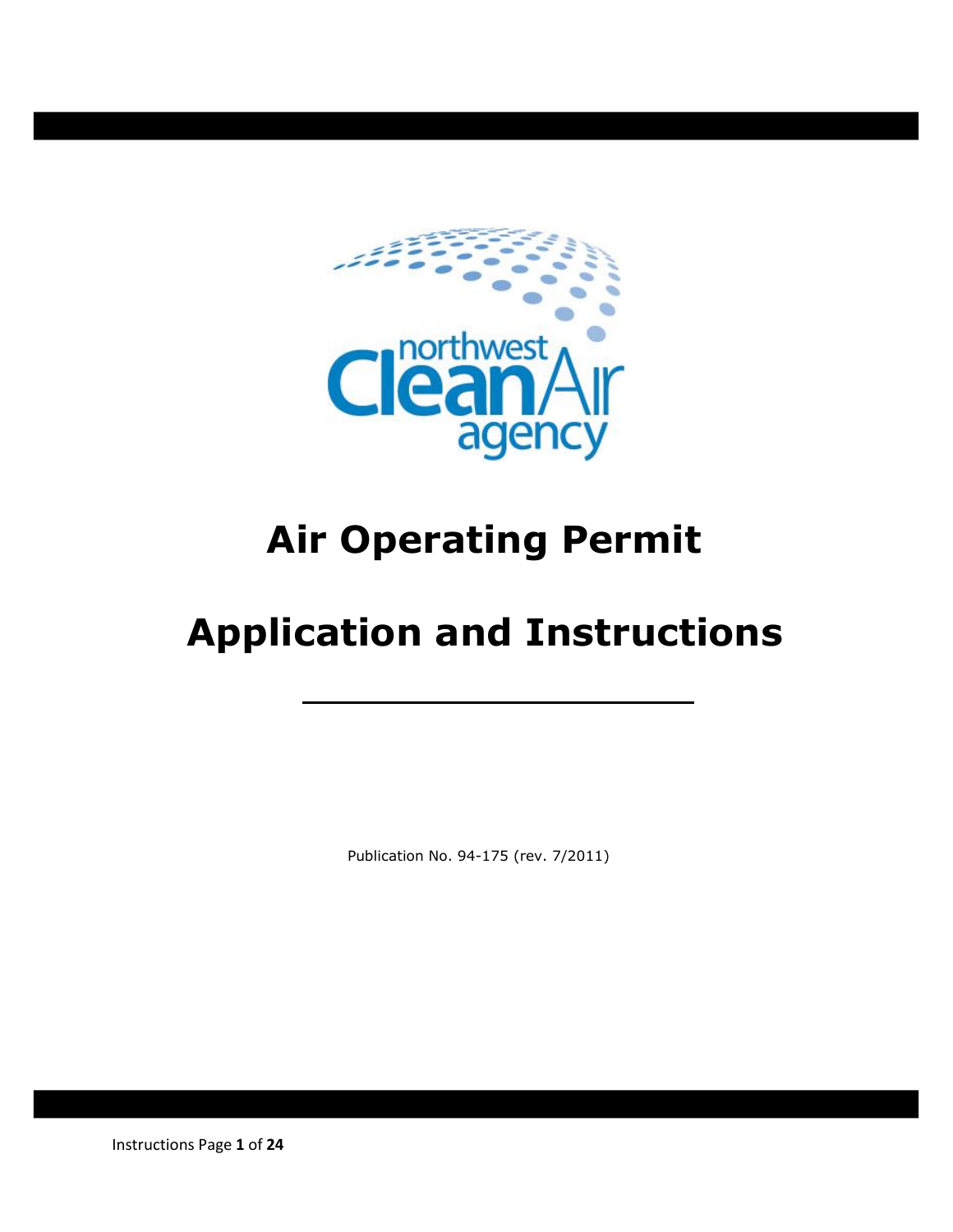

# **Air Operating Permit**

# **Application and Instructions**

Publication No. 94-175 (rev. 7/2011)

Instructions Page **1** of **24**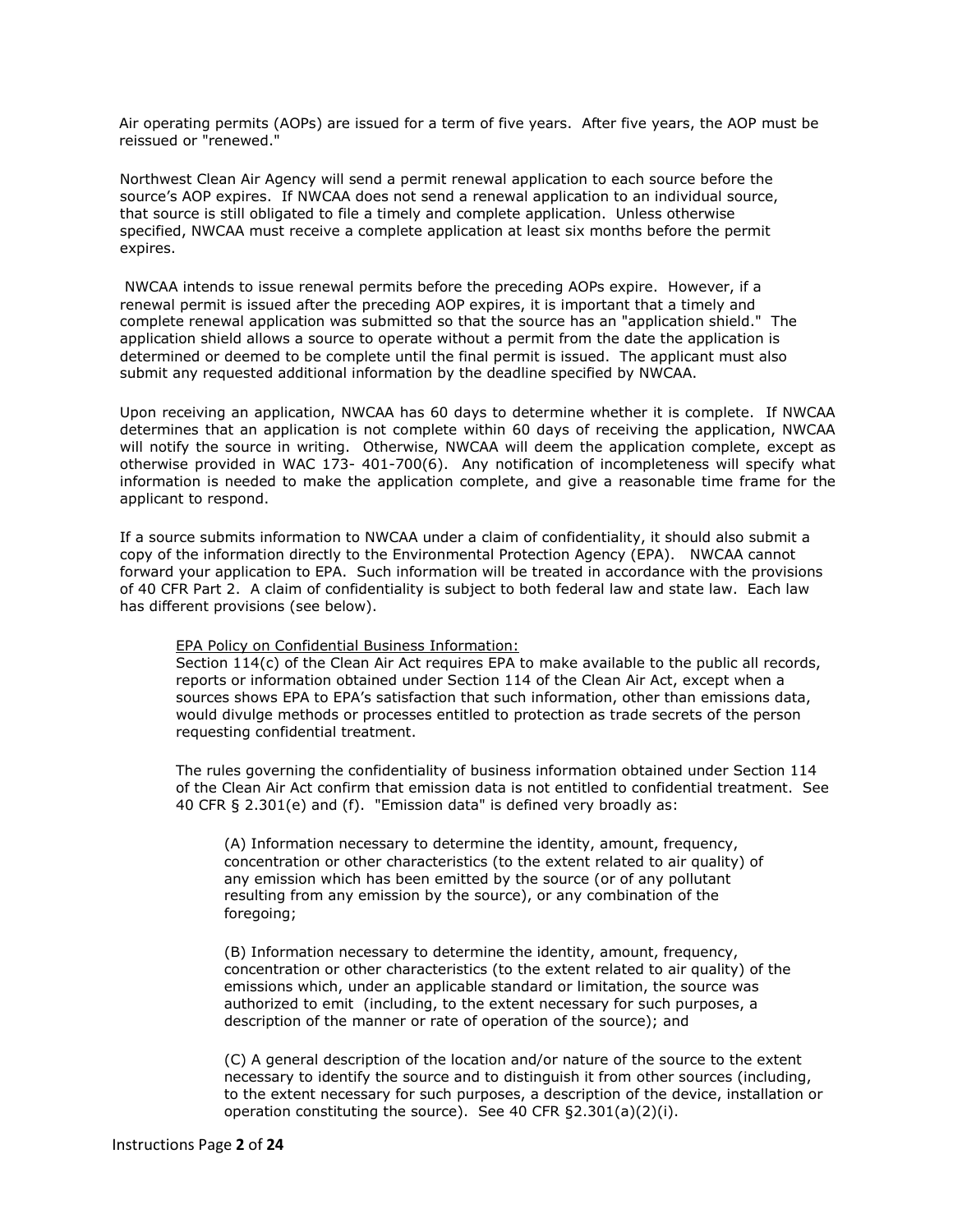Air operating permits (AOPs) are issued for a term of five years. After five years, the AOP must be reissued or "renewed."

Northwest Clean Air Agency will send a permit renewal application to each source before the source's AOP expires. If NWCAA does not send a renewal application to an individual source, that source is still obligated to file a timely and complete application. Unless otherwise specified, NWCAA must receive a complete application at least six months before the permit expires.

NWCAA intends to issue renewal permits before the preceding AOPs expire. However, if a renewal permit is issued after the preceding AOP expires, it is important that a timely and complete renewal application was submitted so that the source has an "application shield." The application shield allows a source to operate without a permit from the date the application is determined or deemed to be complete until the final permit is issued. The applicant must also submit any requested additional information by the deadline specified by NWCAA.

Upon receiving an application, NWCAA has 60 days to determine whether it is complete. If NWCAA determines that an application is not complete within 60 days of receiving the application, NWCAA will notify the source in writing. Otherwise, NWCAA will deem the application complete, except as otherwise provided in WAC 173- 401-700(6). Any notification of incompleteness will specify what information is needed to make the application complete, and give a reasonable time frame for the applicant to respond.

If a source submits information to NWCAA under a claim of confidentiality, it should also submit a copy of the information directly to the Environmental Protection Agency (EPA). NWCAA cannot forward your application to EPA. Such information will be treated in accordance with the provisions of 40 CFR Part 2. A claim of confidentiality is subject to both federal law and state law. Each law has different provisions (see below).

#### EPA Policy on Confidential Business Information:

Section 114(c) of the Clean Air Act requires EPA to make available to the public all records, reports or information obtained under Section 114 of the Clean Air Act, except when a sources shows EPA to EPA's satisfaction that such information, other than emissions data, would divulge methods or processes entitled to protection as trade secrets of the person requesting confidential treatment.

The rules governing the confidentiality of business information obtained under Section 114 of the Clean Air Act confirm that emission data is not entitled to confidential treatment. See 40 CFR § 2.301(e) and (f). "Emission data" is defined very broadly as:

(A) Information necessary to determine the identity, amount, frequency, concentration or other characteristics (to the extent related to air quality) of any emission which has been emitted by the source (or of any pollutant resulting from any emission by the source), or any combination of the foregoing;

(B) Information necessary to determine the identity, amount, frequency, concentration or other characteristics (to the extent related to air quality) of the emissions which, under an applicable standard or limitation, the source was authorized to emit (including, to the extent necessary for such purposes, a description of the manner or rate of operation of the source); and

(C) A general description of the location and/or nature of the source to the extent necessary to identify the source and to distinguish it from other sources (including, to the extent necessary for such purposes, a description of the device, installation or operation constituting the source). See 40 CFR §2.301(a)(2)(i).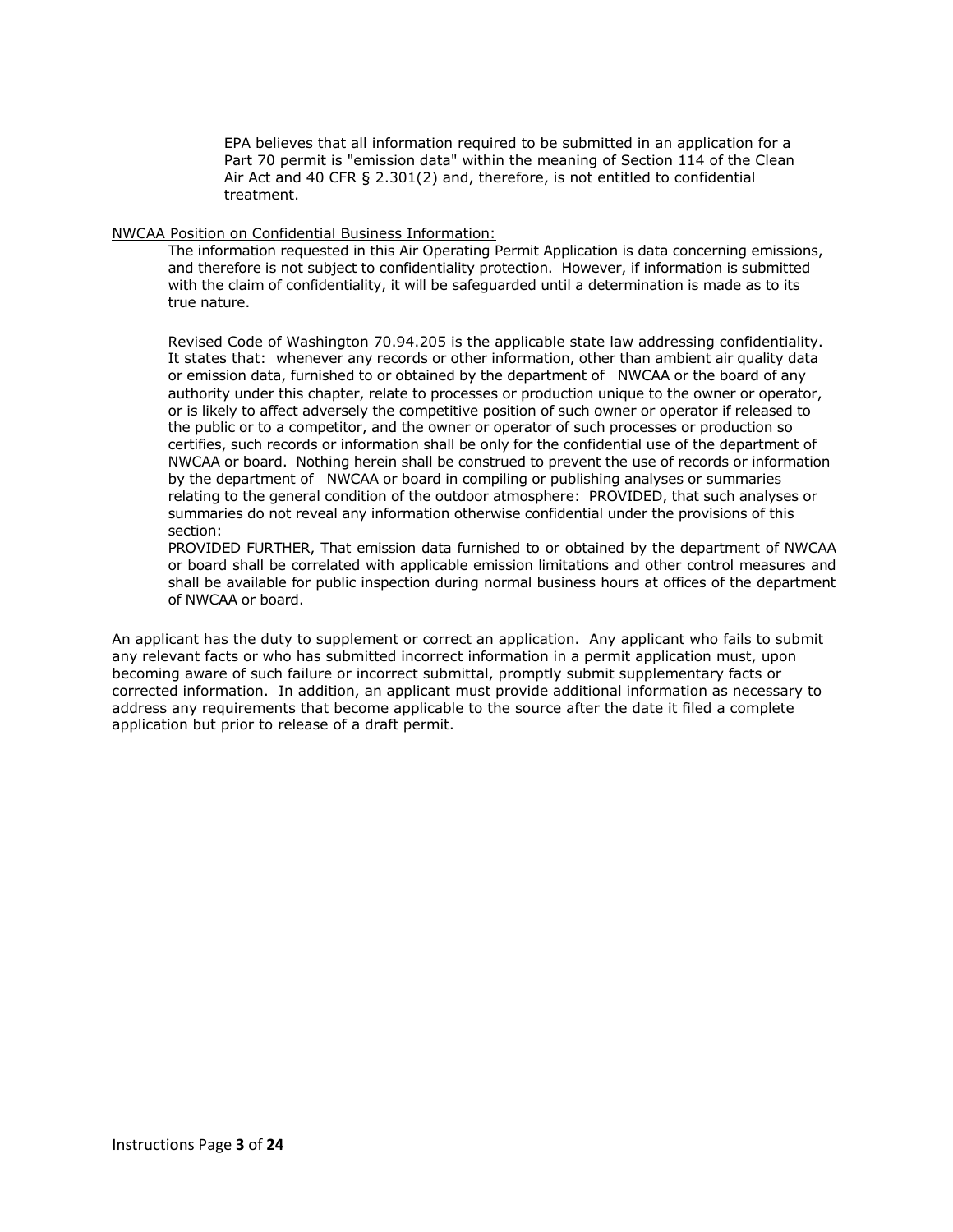EPA believes that all information required to be submitted in an application for a Part 70 permit is "emission data" within the meaning of Section 114 of the Clean Air Act and 40 CFR § 2.301(2) and, therefore, is not entitled to confidential treatment.

#### NWCAA Position on Confidential Business Information:

The information requested in this Air Operating Permit Application is data concerning emissions, and therefore is not subject to confidentiality protection. However, if information is submitted with the claim of confidentiality, it will be safeguarded until a determination is made as to its true nature.

Revised Code of Washington 70.94.205 is the applicable state law addressing confidentiality. It states that: whenever any records or other information, other than ambient air quality data or emission data, furnished to or obtained by the department of NWCAA or the board of any authority under this chapter, relate to processes or production unique to the owner or operator, or is likely to affect adversely the competitive position of such owner or operator if released to the public or to a competitor, and the owner or operator of such processes or production so certifies, such records or information shall be only for the confidential use of the department of NWCAA or board. Nothing herein shall be construed to prevent the use of records or information by the department of NWCAA or board in compiling or publishing analyses or summaries relating to the general condition of the outdoor atmosphere: PROVIDED, that such analyses or summaries do not reveal any information otherwise confidential under the provisions of this section:

PROVIDED FURTHER, That emission data furnished to or obtained by the department of NWCAA or board shall be correlated with applicable emission limitations and other control measures and shall be available for public inspection during normal business hours at offices of the department of NWCAA or board.

An applicant has the duty to supplement or correct an application. Any applicant who fails to submit any relevant facts or who has submitted incorrect information in a permit application must, upon becoming aware of such failure or incorrect submittal, promptly submit supplementary facts or corrected information. In addition, an applicant must provide additional information as necessary to address any requirements that become applicable to the source after the date it filed a complete application but prior to release of a draft permit.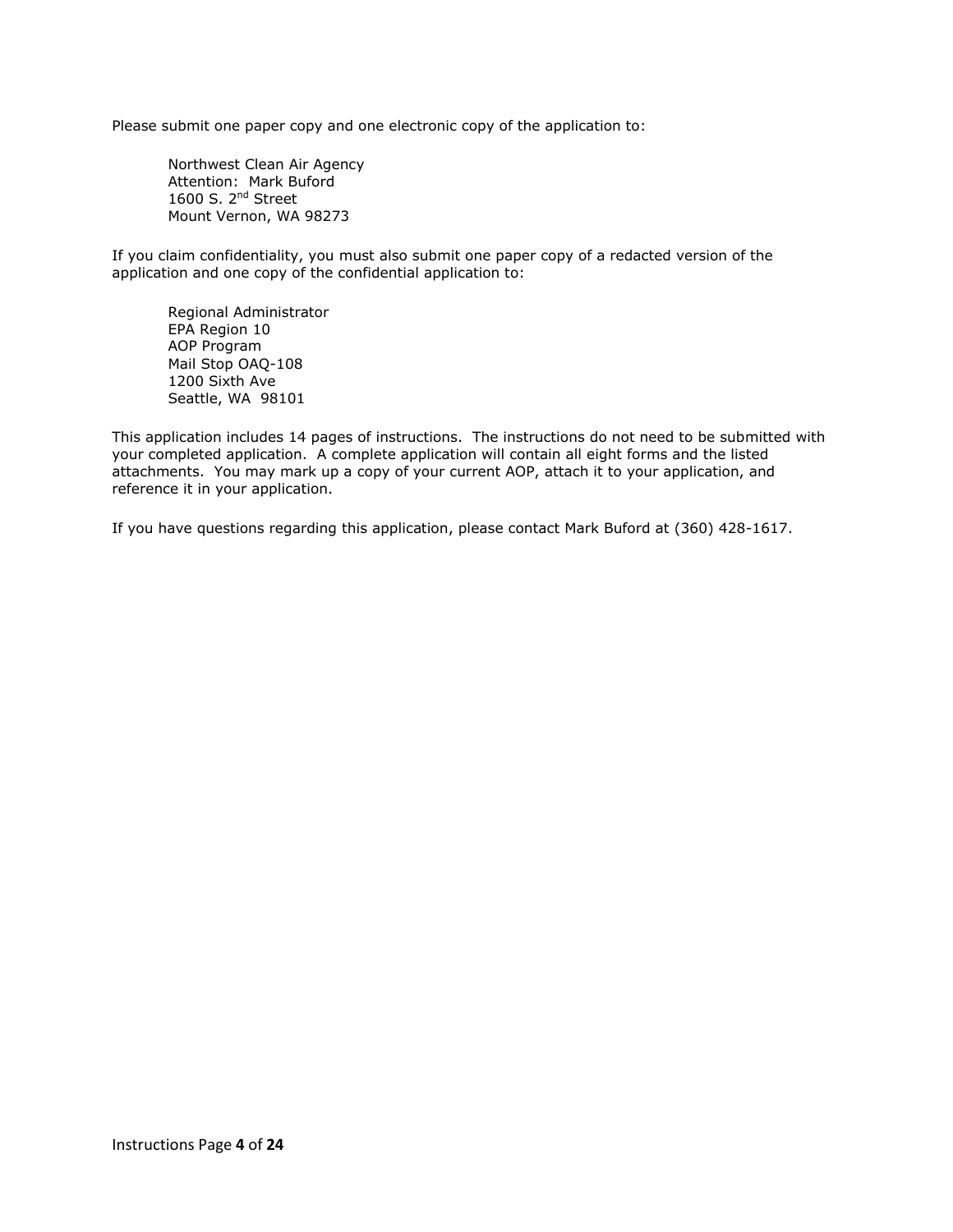Please submit one paper copy and one electronic copy of the application to:

Northwest Clean Air Agency Attention: Mark Buford 1600 S. 2<sup>nd</sup> Street Mount Vernon, WA 98273

If you claim confidentiality, you must also submit one paper copy of a redacted version of the application and one copy of the confidential application to:

Regional Administrator EPA Region 10 AOP Program Mail Stop OAQ-108 1200 Sixth Ave Seattle, WA 98101

This application includes 14 pages of instructions. The instructions do not need to be submitted with your completed application. A complete application will contain all eight forms and the listed attachments. You may mark up a copy of your current AOP, attach it to your application, and reference it in your application.

If you have questions regarding this application, please contact Mark Buford at (360) 428-1617.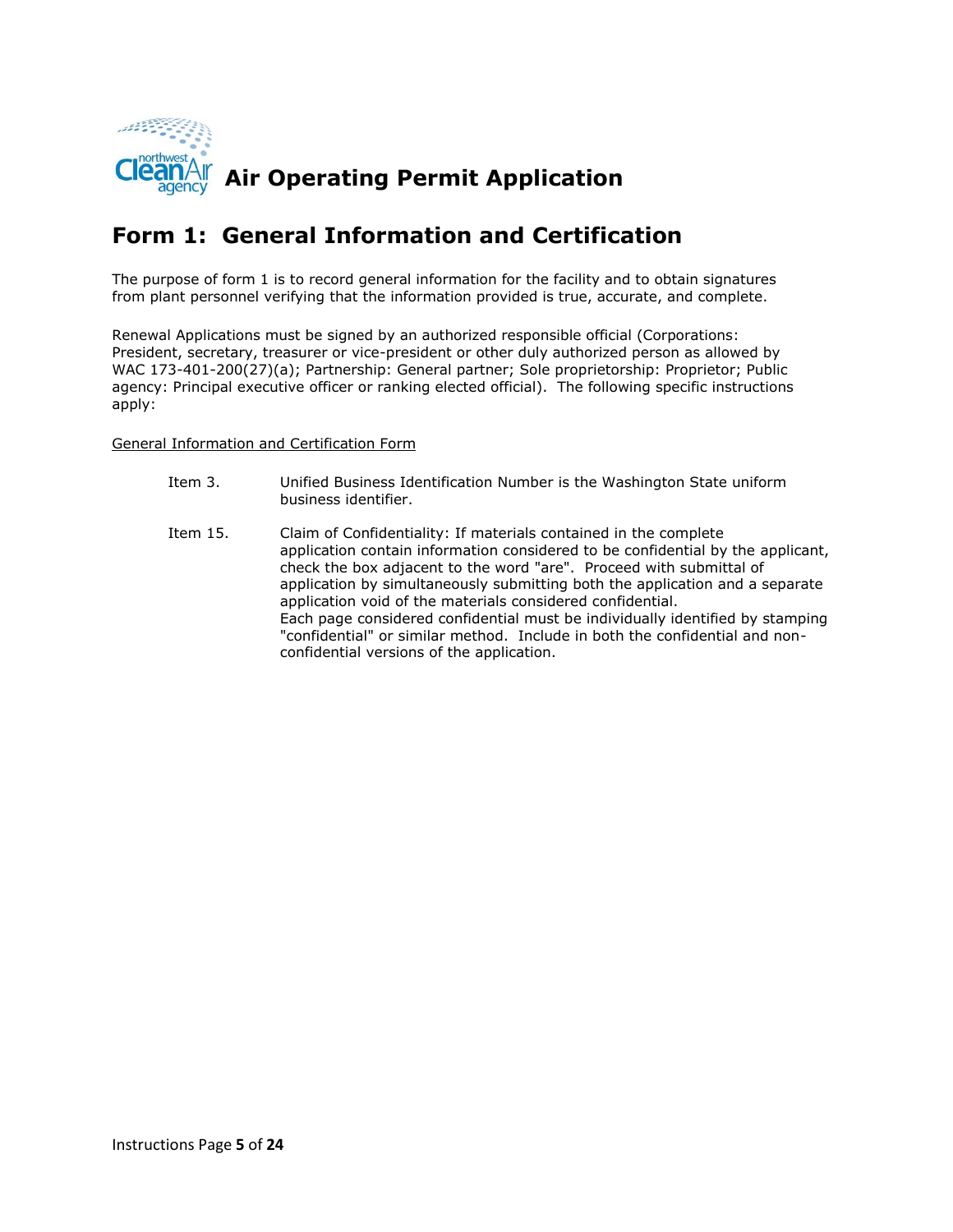

#### **Form 1: General Information and Certification**

The purpose of form 1 is to record general information for the facility and to obtain signatures from plant personnel verifying that the information provided is true, accurate, and complete.

Renewal Applications must be signed by an authorized responsible official (Corporations: President, secretary, treasurer or vice-president or other duly authorized person as allowed by WAC 173-401-200(27)(a); Partnership: General partner; Sole proprietorship: Proprietor; Public agency: Principal executive officer or ranking elected official). The following specific instructions apply:

#### General Information and Certification Form

- Item 3. Unified Business Identification Number is the Washington State uniform business identifier.
- Item 15. Claim of Confidentiality: If materials contained in the complete application contain information considered to be confidential by the applicant, check the box adjacent to the word "are". Proceed with submittal of application by simultaneously submitting both the application and a separate application void of the materials considered confidential. Each page considered confidential must be individually identified by stamping "confidential" or similar method. Include in both the confidential and nonconfidential versions of the application.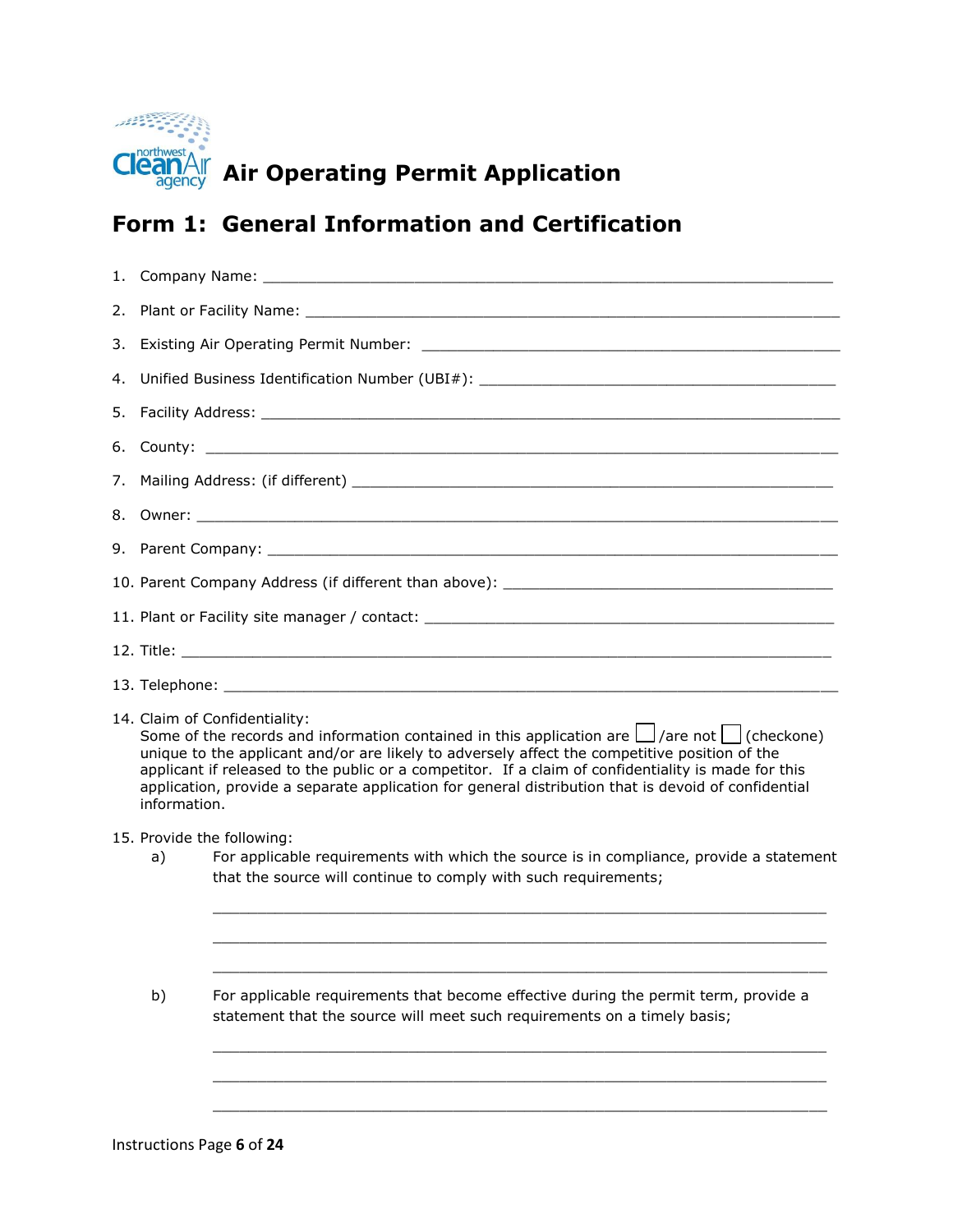

# **CleanAIF** Air Operating Permit Application

## **Form 1: General Information and Certification**

|                                                                                                                                                                       |                                                                                                                                                                                                                                                                                                                                                                                                                                                                         | 4. Unified Business Identification Number (UBI#): _______________________________ |  |  |  |  |
|-----------------------------------------------------------------------------------------------------------------------------------------------------------------------|-------------------------------------------------------------------------------------------------------------------------------------------------------------------------------------------------------------------------------------------------------------------------------------------------------------------------------------------------------------------------------------------------------------------------------------------------------------------------|-----------------------------------------------------------------------------------|--|--|--|--|
|                                                                                                                                                                       |                                                                                                                                                                                                                                                                                                                                                                                                                                                                         |                                                                                   |  |  |  |  |
|                                                                                                                                                                       |                                                                                                                                                                                                                                                                                                                                                                                                                                                                         |                                                                                   |  |  |  |  |
|                                                                                                                                                                       |                                                                                                                                                                                                                                                                                                                                                                                                                                                                         |                                                                                   |  |  |  |  |
|                                                                                                                                                                       |                                                                                                                                                                                                                                                                                                                                                                                                                                                                         |                                                                                   |  |  |  |  |
|                                                                                                                                                                       |                                                                                                                                                                                                                                                                                                                                                                                                                                                                         |                                                                                   |  |  |  |  |
|                                                                                                                                                                       |                                                                                                                                                                                                                                                                                                                                                                                                                                                                         |                                                                                   |  |  |  |  |
|                                                                                                                                                                       |                                                                                                                                                                                                                                                                                                                                                                                                                                                                         | 11. Plant or Facility site manager / contact: ___________________________________ |  |  |  |  |
|                                                                                                                                                                       |                                                                                                                                                                                                                                                                                                                                                                                                                                                                         |                                                                                   |  |  |  |  |
|                                                                                                                                                                       |                                                                                                                                                                                                                                                                                                                                                                                                                                                                         |                                                                                   |  |  |  |  |
|                                                                                                                                                                       | 14. Claim of Confidentiality:<br>Some of the records and information contained in this application are $\Box$ /are not $\Box$ (checkone)<br>unique to the applicant and/or are likely to adversely affect the competitive position of the<br>applicant if released to the public or a competitor. If a claim of confidentiality is made for this<br>application, provide a separate application for general distribution that is devoid of confidential<br>information. |                                                                                   |  |  |  |  |
|                                                                                                                                                                       | 15. Provide the following:                                                                                                                                                                                                                                                                                                                                                                                                                                              |                                                                                   |  |  |  |  |
|                                                                                                                                                                       | For applicable requirements with which the source is in compliance, provide a statement<br>a)<br>that the source will continue to comply with such requirements;                                                                                                                                                                                                                                                                                                        |                                                                                   |  |  |  |  |
| b)<br>For applicable requirements that become effective during the permit term, provide a<br>statement that the source will meet such requirements on a timely basis; |                                                                                                                                                                                                                                                                                                                                                                                                                                                                         |                                                                                   |  |  |  |  |
|                                                                                                                                                                       |                                                                                                                                                                                                                                                                                                                                                                                                                                                                         |                                                                                   |  |  |  |  |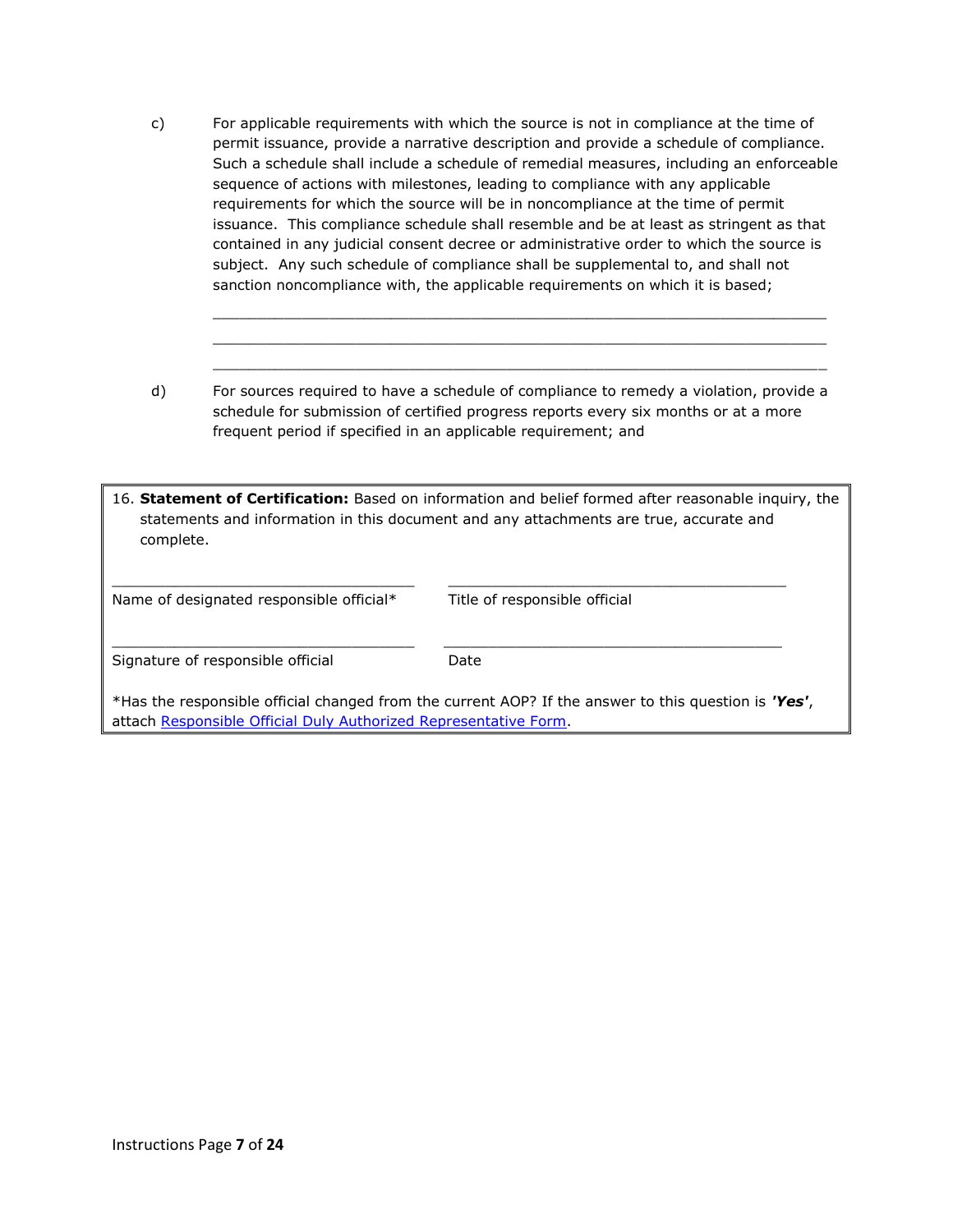c) For applicable requirements with which the source is not in compliance at the time of permit issuance, provide a narrative description and provide a schedule of compliance. Such a schedule shall include a schedule of remedial measures, including an enforceable sequence of actions with milestones, leading to compliance with any applicable requirements for which the source will be in noncompliance at the time of permit issuance. This compliance schedule shall resemble and be at least as stringent as that contained in any judicial consent decree or administrative order to which the source is subject. Any such schedule of compliance shall be supplemental to, and shall not sanction noncompliance with, the applicable requirements on which it is based;

\_\_\_\_\_\_\_\_\_\_\_\_\_\_\_\_\_\_\_\_\_\_\_\_\_\_\_\_\_\_\_\_\_\_\_\_\_\_\_\_\_\_\_\_\_\_\_\_\_\_\_\_\_\_\_\_\_\_\_\_\_\_\_\_\_\_\_\_\_  $\_$  , and the set of the set of the set of the set of the set of the set of the set of the set of the set of the set of the set of the set of the set of the set of the set of the set of the set of the set of the set of th \_\_\_\_\_\_\_\_\_\_\_\_\_\_\_\_\_\_\_\_\_\_\_\_\_\_\_\_\_\_\_\_\_\_\_\_\_\_\_\_\_\_\_\_\_\_\_\_\_\_\_\_\_\_\_\_\_\_\_\_\_\_\_\_\_\_\_\_\_

d) For sources required to have a schedule of compliance to remedy a violation, provide a schedule for submission of certified progress reports every six months or at a more frequent period if specified in an applicable requirement; and

| 16. Statement of Certification: Based on information and belief formed after reasonable inquiry, the |
|------------------------------------------------------------------------------------------------------|
| statements and information in this document and any attachments are true, accurate and               |
| complete.                                                                                            |
|                                                                                                      |

| Name of designated responsible official*                                                                                                                                 | Title of responsible official |  |  |  |  |
|--------------------------------------------------------------------------------------------------------------------------------------------------------------------------|-------------------------------|--|--|--|--|
| Signature of responsible official                                                                                                                                        | Date                          |  |  |  |  |
| *Has the responsible official changed from the current AOP? If the answer to this question is 'Yes',<br>attach Responsible Official Duly Authorized Representative Form. |                               |  |  |  |  |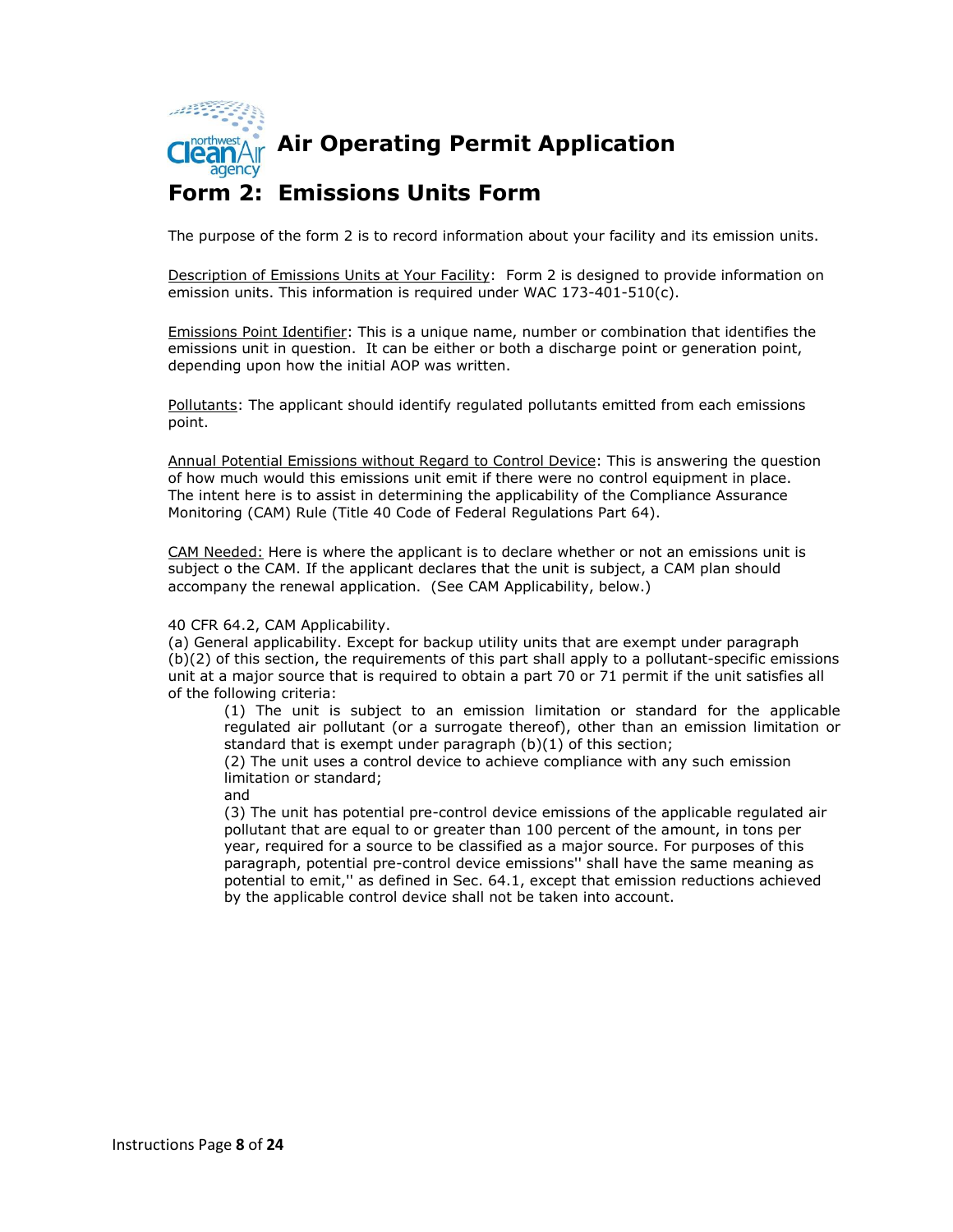

agency

**AIR AIR Operating Permit Application** 

#### **Form 2: Emissions Units Form**

The purpose of the form 2 is to record information about your facility and its emission units.

Description of Emissions Units at Your Facility: Form 2 is designed to provide information on emission units. This information is required under WAC 173-401-510(c).

Emissions Point Identifier: This is a unique name, number or combination that identifies the emissions unit in question. It can be either or both a discharge point or generation point, depending upon how the initial AOP was written.

Pollutants: The applicant should identify regulated pollutants emitted from each emissions point.

Annual Potential Emissions without Regard to Control Device: This is answering the question of how much would this emissions unit emit if there were no control equipment in place. The intent here is to assist in determining the applicability of the Compliance Assurance Monitoring (CAM) Rule (Title 40 Code of Federal Regulations Part 64).

CAM Needed: Here is where the applicant is to declare whether or not an emissions unit is subject o the CAM. If the applicant declares that the unit is subject, a CAM plan should accompany the renewal application. (See CAM Applicability, below.)

#### 40 CFR 64.2, CAM Applicability.

(a) General applicability. Except for backup utility units that are exempt under paragraph (b)(2) of this section, the requirements of this part shall apply to a pollutant-specific emissions unit at a major source that is required to obtain a part 70 or 71 permit if the unit satisfies all of the following criteria:

(1) The unit is subject to an emission limitation or standard for the applicable regulated air pollutant (or a surrogate thereof), other than an emission limitation or standard that is exempt under paragraph (b)(1) of this section;

(2) The unit uses a control device to achieve compliance with any such emission limitation or standard;

and

(3) The unit has potential pre-control device emissions of the applicable regulated air pollutant that are equal to or greater than 100 percent of the amount, in tons per year, required for a source to be classified as a major source. For purposes of this paragraph, potential pre-control device emissions'' shall have the same meaning as potential to emit,'' as defined in Sec. 64.1, except that emission reductions achieved by the applicable control device shall not be taken into account.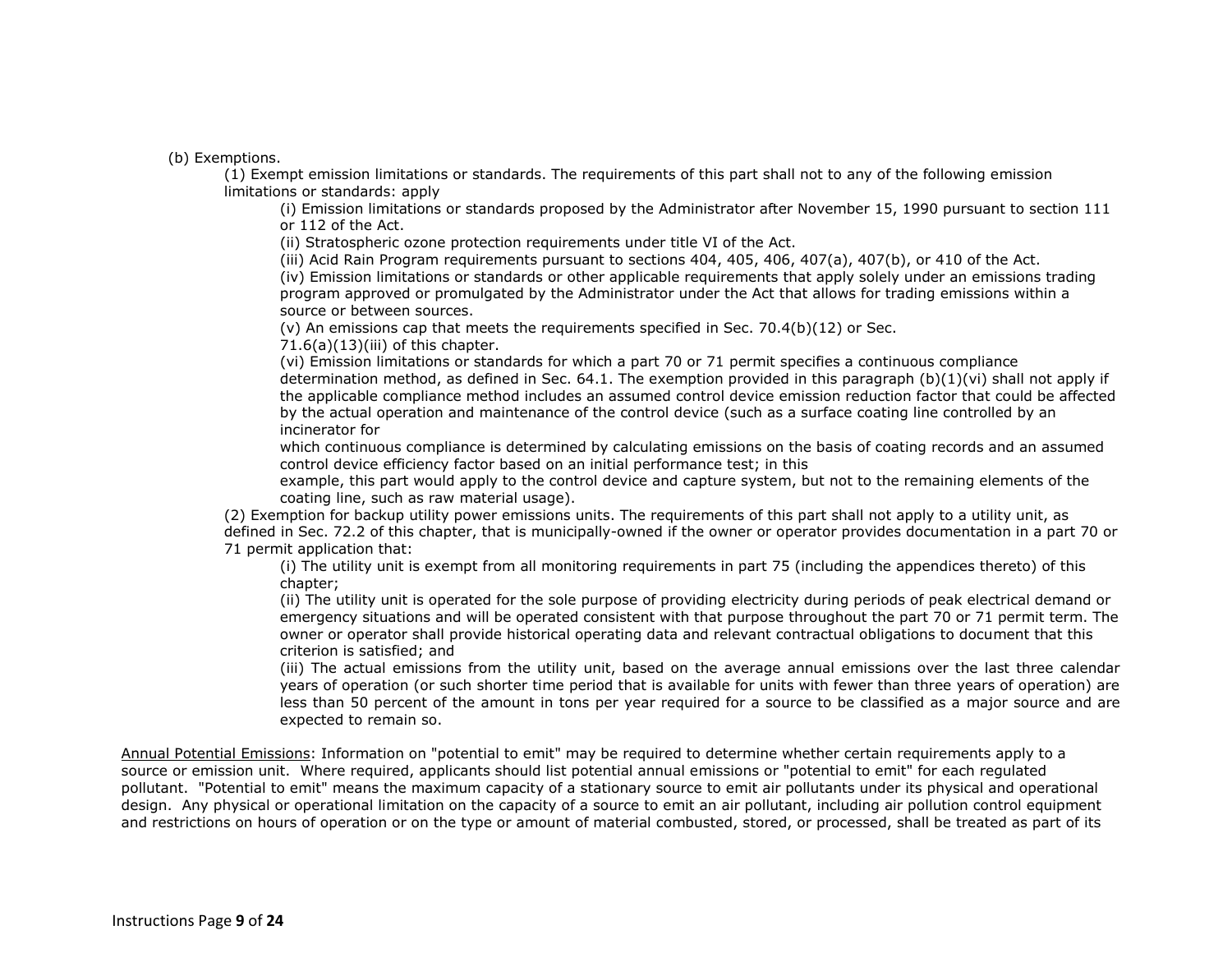(b) Exemptions.

(1) Exempt emission limitations or standards. The requirements of this part shall not to any of the following emission limitations or standards: apply

(i) Emission limitations or standards proposed by the Administrator after November 15, 1990 pursuant to section 111 or 112 of the Act.

(ii) Stratospheric ozone protection requirements under title VI of the Act.

(iii) Acid Rain Program requirements pursuant to sections 404, 405, 406, 407(a), 407(b), or 410 of the Act.

(iv) Emission limitations or standards or other applicable requirements that apply solely under an emissions trading program approved or promulgated by the Administrator under the Act that allows for trading emissions within a source or between sources.

(v) An emissions cap that meets the requirements specified in Sec.  $70.4(b)(12)$  or Sec.

 $71.6(a)(13)(iii)$  of this chapter.

(vi) Emission limitations or standards for which a part 70 or 71 permit specifies a continuous compliance determination method, as defined in Sec. 64.1. The exemption provided in this paragraph (b)(1)(vi) shall not apply if the applicable compliance method includes an assumed control device emission reduction factor that could be affected by the actual operation and maintenance of the control device (such as a surface coating line controlled by an incinerator for

which continuous compliance is determined by calculating emissions on the basis of coating records and an assumed control device efficiency factor based on an initial performance test; in this

example, this part would apply to the control device and capture system, but not to the remaining elements of the coating line, such as raw material usage).

(2) Exemption for backup utility power emissions units. The requirements of this part shall not apply to a utility unit, as defined in Sec. 72.2 of this chapter, that is municipally-owned if the owner or operator provides documentation in a part 70 or 71 permit application that:

(i) The utility unit is exempt from all monitoring requirements in part 75 (including the appendices thereto) of this chapter;

(ii) The utility unit is operated for the sole purpose of providing electricity during periods of peak electrical demand or emergency situations and will be operated consistent with that purpose throughout the part 70 or 71 permit term. The owner or operator shall provide historical operating data and relevant contractual obligations to document that this criterion is satisfied; and

(iii) The actual emissions from the utility unit, based on the average annual emissions over the last three calendar years of operation (or such shorter time period that is available for units with fewer than three years of operation) are less than 50 percent of the amount in tons per year required for a source to be classified as a major source and are expected to remain so.

Annual Potential Emissions: Information on "potential to emit" may be required to determine whether certain requirements apply to a source or emission unit. Where required, applicants should list potential annual emissions or "potential to emit" for each regulated pollutant. "Potential to emit" means the maximum capacity of a stationary source to emit air pollutants under its physical and operational design. Any physical or operational limitation on the capacity of a source to emit an air pollutant, including air pollution control equipment and restrictions on hours of operation or on the type or amount of material combusted, stored, or processed, shall be treated as part of its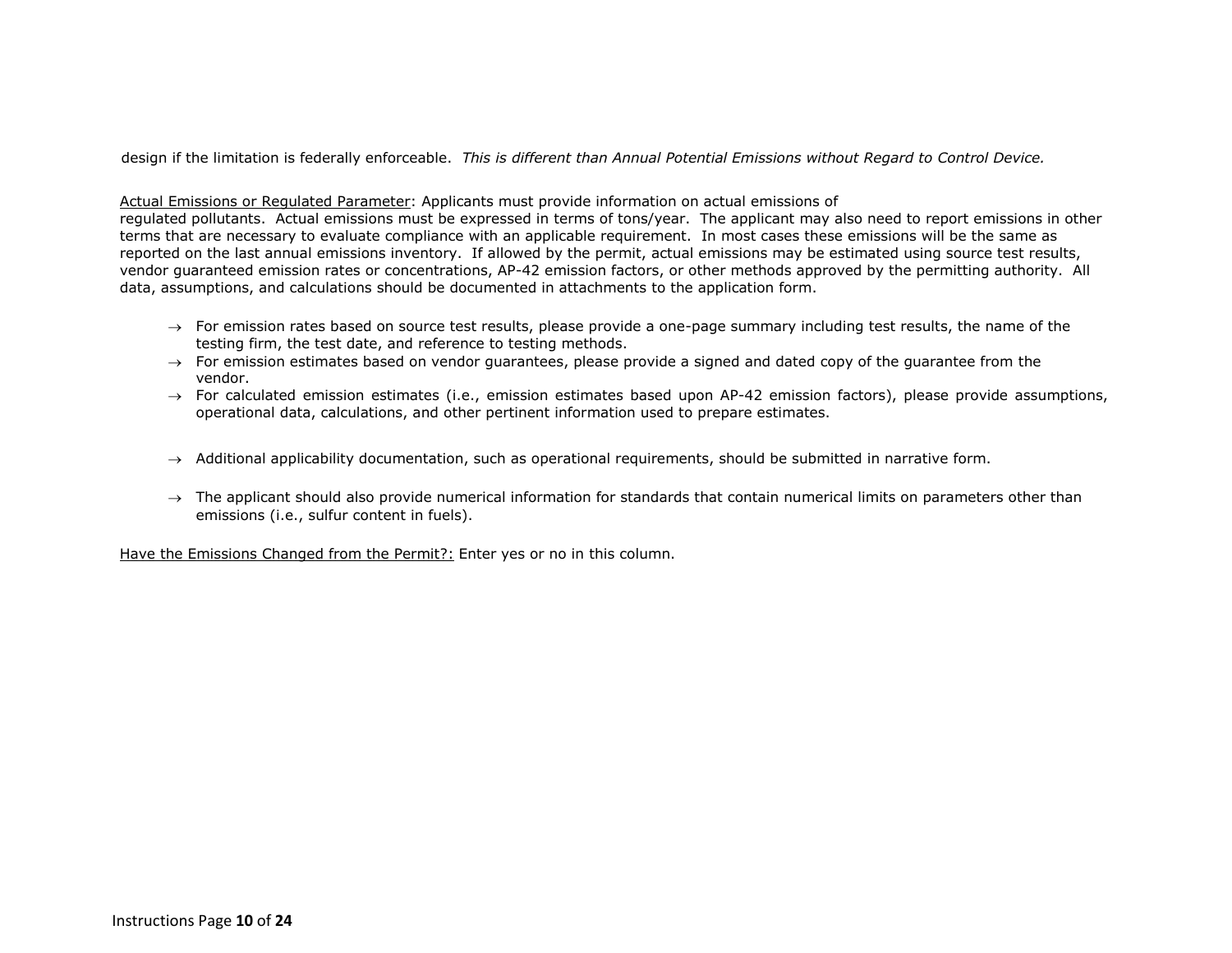design if the limitation is federally enforceable. *This is different than Annual Potential Emissions without Regard to Control Device.*

#### Actual Emissions or Regulated Parameter: Applicants must provide information on actual emissions of

regulated pollutants. Actual emissions must be expressed in terms of tons/year. The applicant may also need to report emissions in other terms that are necessary to evaluate compliance with an applicable requirement. In most cases these emissions will be the same as reported on the last annual emissions inventory. If allowed by the permit, actual emissions may be estimated using source test results, vendor guaranteed emission rates or concentrations, AP-42 emission factors, or other methods approved by the permitting authority. All data, assumptions, and calculations should be documented in attachments to the application form.

- $\rightarrow$  For emission rates based on source test results, please provide a one-page summary including test results, the name of the testing firm, the test date, and reference to testing methods.
- $\rightarrow$  For emission estimates based on vendor quarantees, please provide a signed and dated copy of the quarantee from the vendor.
- $\rightarrow$  For calculated emission estimates (i.e., emission estimates based upon AP-42 emission factors), please provide assumptions, operational data, calculations, and other pertinent information used to prepare estimates.
- $\rightarrow$  Additional applicability documentation, such as operational requirements, should be submitted in narrative form.
- $\rightarrow$  The applicant should also provide numerical information for standards that contain numerical limits on parameters other than emissions (i.e., sulfur content in fuels).

Have the Emissions Changed from the Permit?: Enter yes or no in this column.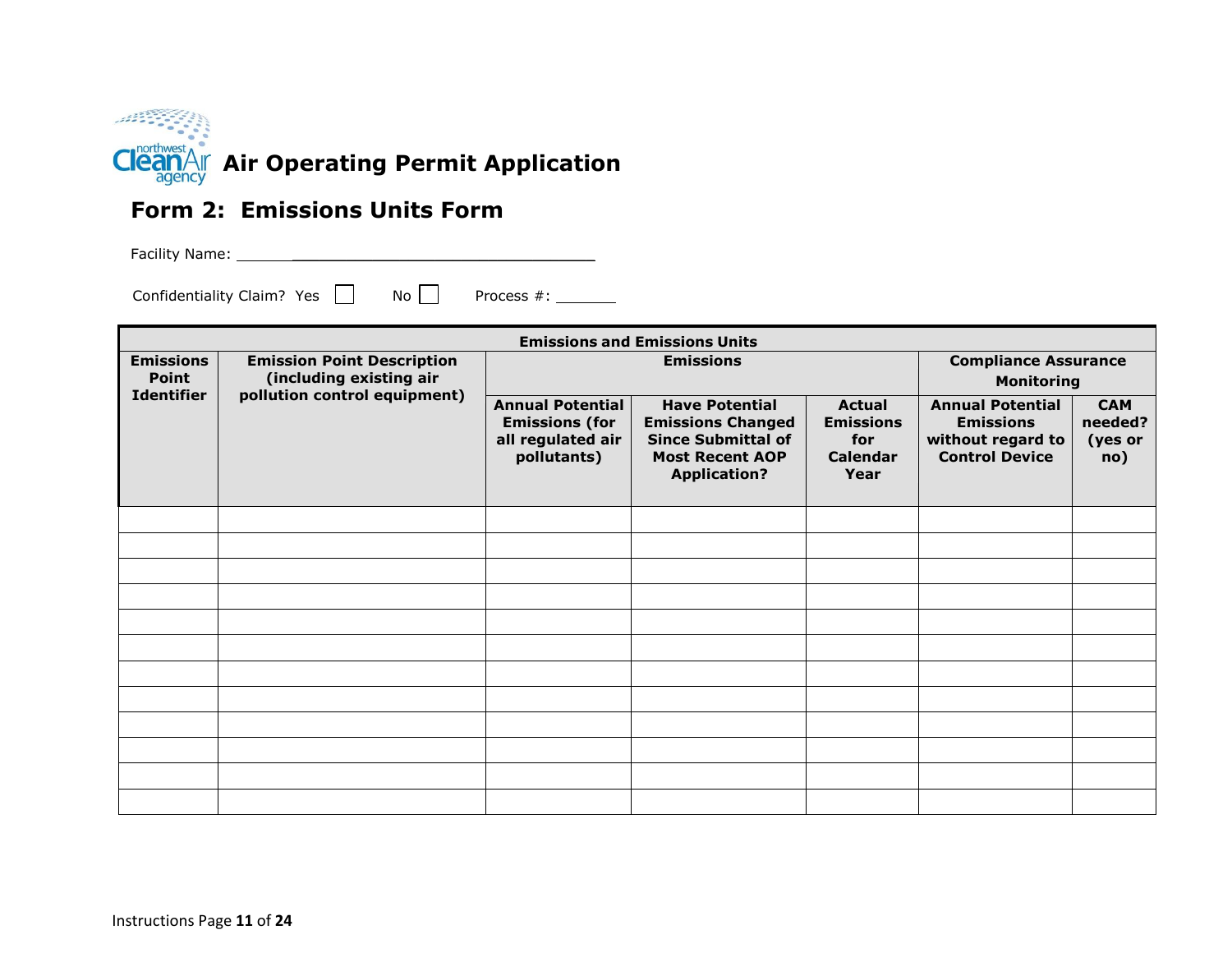

#### **Form 2: Emissions Units Form**

Facility Name: \_\_\_\_\_\_\_\_\_\_\_\_\_\_\_\_\_\_\_\_\_\_\_\_\_\_\_\_\_\_\_\_\_\_

Confidentiality Claim? Yes  $\Box$  No Process #: \_\_\_\_\_\_\_\_

| <b>Emissions and Emissions Units</b> |                                                              |                                                                                      |                                                                                                                                 |                                                                     |                                                                                           |                                         |  |
|--------------------------------------|--------------------------------------------------------------|--------------------------------------------------------------------------------------|---------------------------------------------------------------------------------------------------------------------------------|---------------------------------------------------------------------|-------------------------------------------------------------------------------------------|-----------------------------------------|--|
| <b>Emissions</b><br><b>Point</b>     | <b>Emission Point Description</b><br>(including existing air | <b>Emissions</b>                                                                     |                                                                                                                                 |                                                                     | <b>Compliance Assurance</b><br><b>Monitoring</b>                                          |                                         |  |
| <b>Identifier</b>                    | pollution control equipment)                                 | <b>Annual Potential</b><br><b>Emissions (for</b><br>all regulated air<br>pollutants) | <b>Have Potential</b><br><b>Emissions Changed</b><br><b>Since Submittal of</b><br><b>Most Recent AOP</b><br><b>Application?</b> | <b>Actual</b><br><b>Emissions</b><br>for<br><b>Calendar</b><br>Year | <b>Annual Potential</b><br><b>Emissions</b><br>without regard to<br><b>Control Device</b> | <b>CAM</b><br>needed?<br>(yes or<br>no) |  |
|                                      |                                                              |                                                                                      |                                                                                                                                 |                                                                     |                                                                                           |                                         |  |
|                                      |                                                              |                                                                                      |                                                                                                                                 |                                                                     |                                                                                           |                                         |  |
|                                      |                                                              |                                                                                      |                                                                                                                                 |                                                                     |                                                                                           |                                         |  |
|                                      |                                                              |                                                                                      |                                                                                                                                 |                                                                     |                                                                                           |                                         |  |
|                                      |                                                              |                                                                                      |                                                                                                                                 |                                                                     |                                                                                           |                                         |  |
|                                      |                                                              |                                                                                      |                                                                                                                                 |                                                                     |                                                                                           |                                         |  |
|                                      |                                                              |                                                                                      |                                                                                                                                 |                                                                     |                                                                                           |                                         |  |
|                                      |                                                              |                                                                                      |                                                                                                                                 |                                                                     |                                                                                           |                                         |  |
|                                      |                                                              |                                                                                      |                                                                                                                                 |                                                                     |                                                                                           |                                         |  |
|                                      |                                                              |                                                                                      |                                                                                                                                 |                                                                     |                                                                                           |                                         |  |
|                                      |                                                              |                                                                                      |                                                                                                                                 |                                                                     |                                                                                           |                                         |  |
|                                      |                                                              |                                                                                      |                                                                                                                                 |                                                                     |                                                                                           |                                         |  |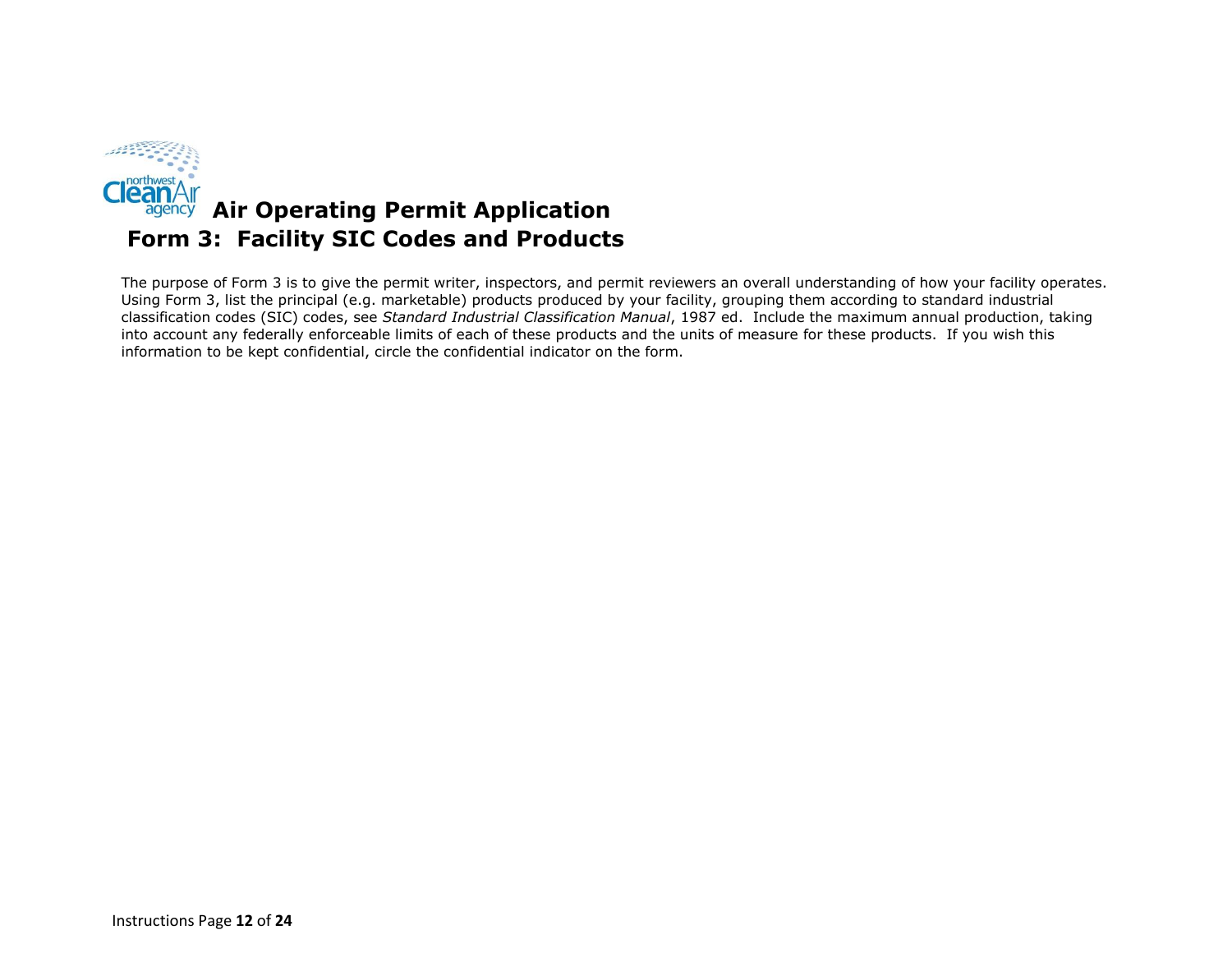

The purpose of Form 3 is to give the permit writer, inspectors, and permit reviewers an overall understanding of how your facility operates. Using Form 3, list the principal (e.g. marketable) products produced by your facility, grouping them according to standard industrial classification codes (SIC) codes, see *Standard Industrial Classification Manual*, 1987 ed. Include the maximum annual production, taking into account any federally enforceable limits of each of these products and the units of measure for these products. If you wish this information to be kept confidential, circle the confidential indicator on the form.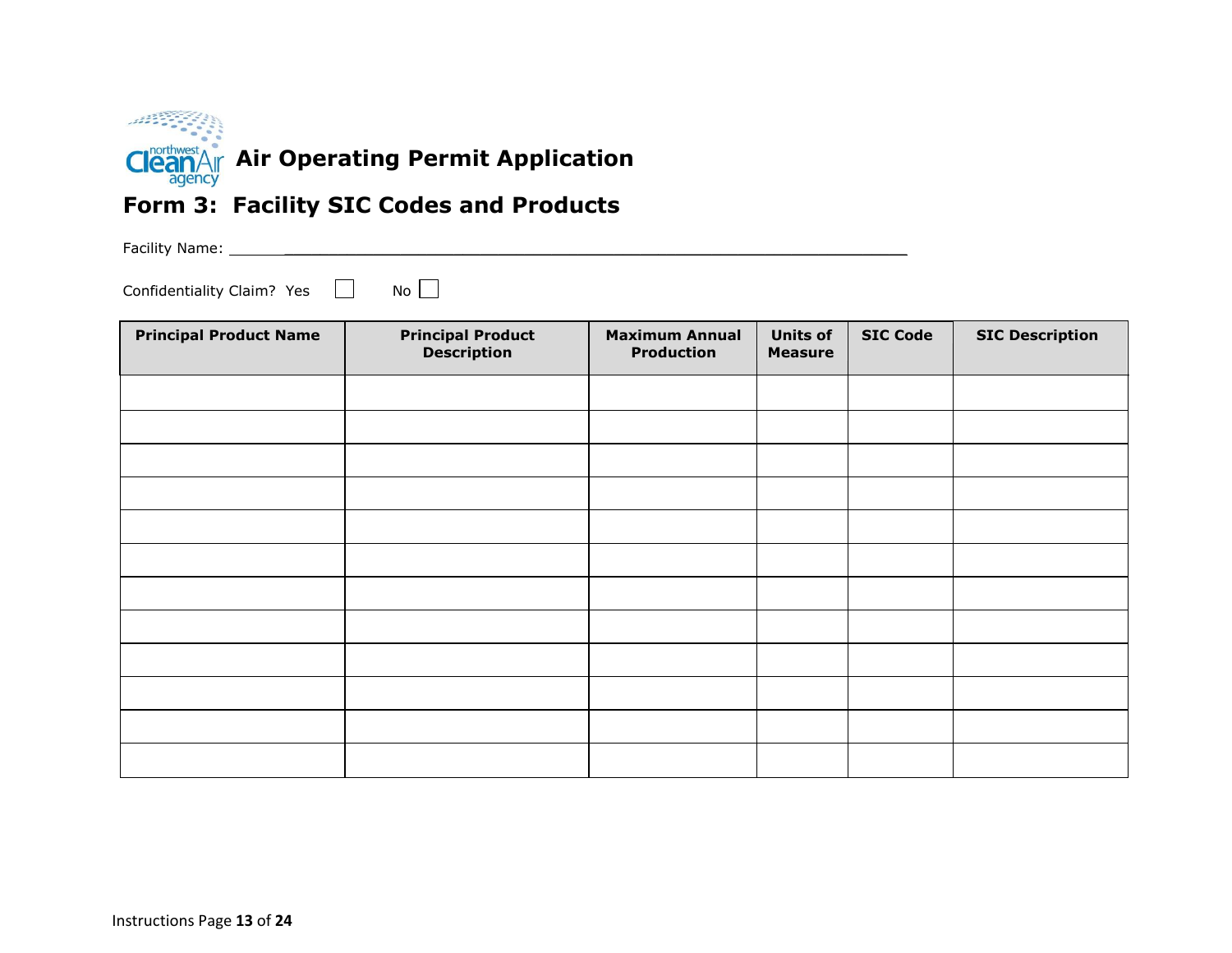

## **Form 3: Facility SIC Codes and Products**

Facility Name: \_\_\_\_\_\_\_\_\_\_\_\_\_\_\_\_\_\_\_\_\_\_\_\_\_\_\_\_\_\_\_\_\_\_\_\_\_\_\_\_\_\_\_\_\_\_\_\_\_\_\_\_\_\_\_\_\_\_\_\_\_\_\_\_\_\_\_\_\_\_

Confidentiality Claim? Yes  $\Box$  No  $\Box$ 

| <b>Principal Product Name</b> | <b>Principal Product</b><br><b>Maximum Annual</b><br><b>Description</b><br><b>Production</b> |  | <b>Units of</b><br><b>Measure</b> | <b>SIC Code</b> | <b>SIC Description</b> |
|-------------------------------|----------------------------------------------------------------------------------------------|--|-----------------------------------|-----------------|------------------------|
|                               |                                                                                              |  |                                   |                 |                        |
|                               |                                                                                              |  |                                   |                 |                        |
|                               |                                                                                              |  |                                   |                 |                        |
|                               |                                                                                              |  |                                   |                 |                        |
|                               |                                                                                              |  |                                   |                 |                        |
|                               |                                                                                              |  |                                   |                 |                        |
|                               |                                                                                              |  |                                   |                 |                        |
|                               |                                                                                              |  |                                   |                 |                        |
|                               |                                                                                              |  |                                   |                 |                        |
|                               |                                                                                              |  |                                   |                 |                        |
|                               |                                                                                              |  |                                   |                 |                        |
|                               |                                                                                              |  |                                   |                 |                        |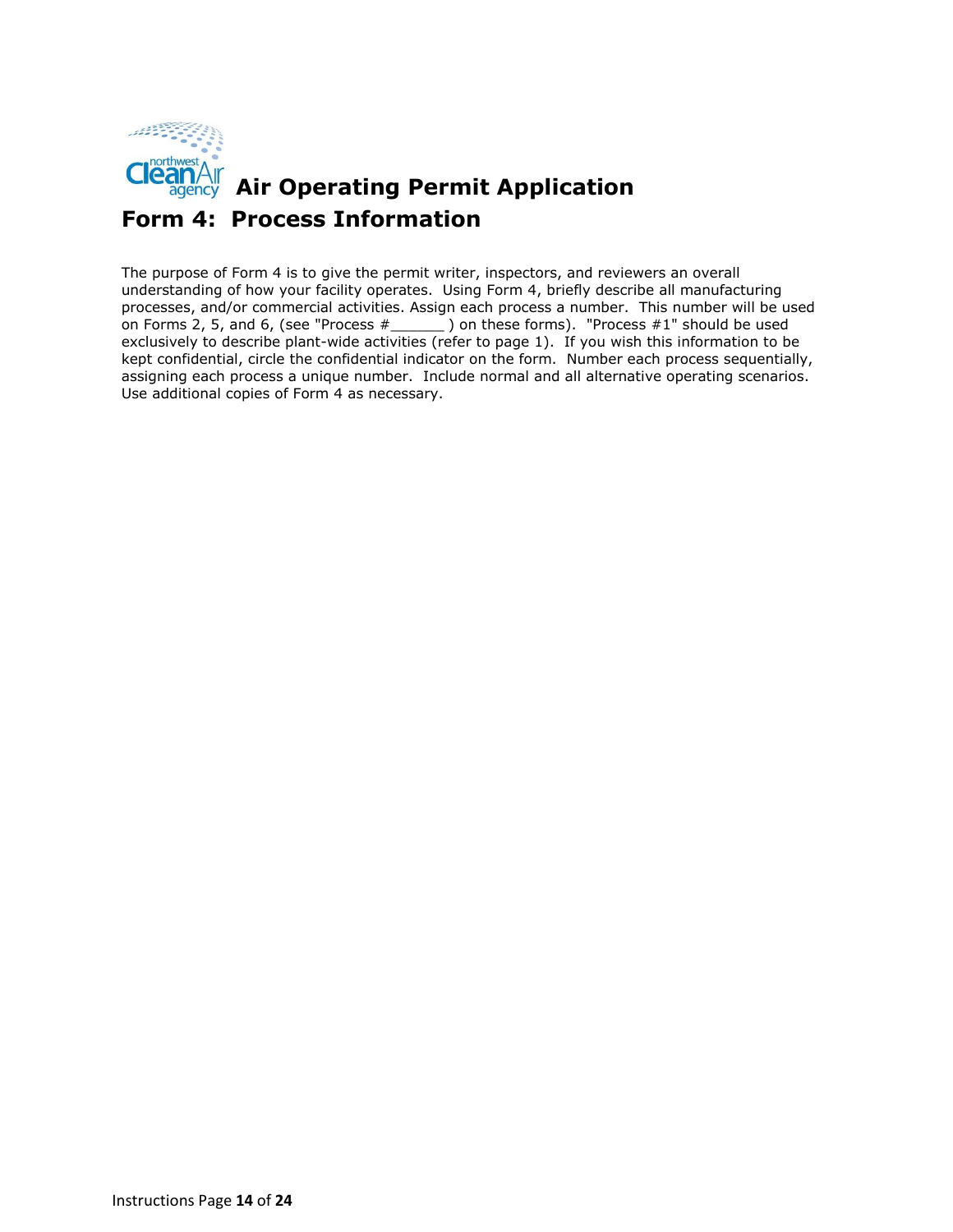

## **AIR AIR Operating Permit Application Form 4: Process Information**

The purpose of Form 4 is to give the permit writer, inspectors, and reviewers an overall understanding of how your facility operates. Using Form 4, briefly describe all manufacturing processes, and/or commercial activities. Assign each process a number. This number will be used on Forms 2, 5, and 6, (see "Process  $\#$  \_\_\_\_\_\_\_ ) on these forms). "Process  $\#1$ " should be used exclusively to describe plant-wide activities (refer to page 1). If you wish this information to be kept confidential, circle the confidential indicator on the form. Number each process sequentially, assigning each process a unique number. Include normal and all alternative operating scenarios. Use additional copies of Form 4 as necessary.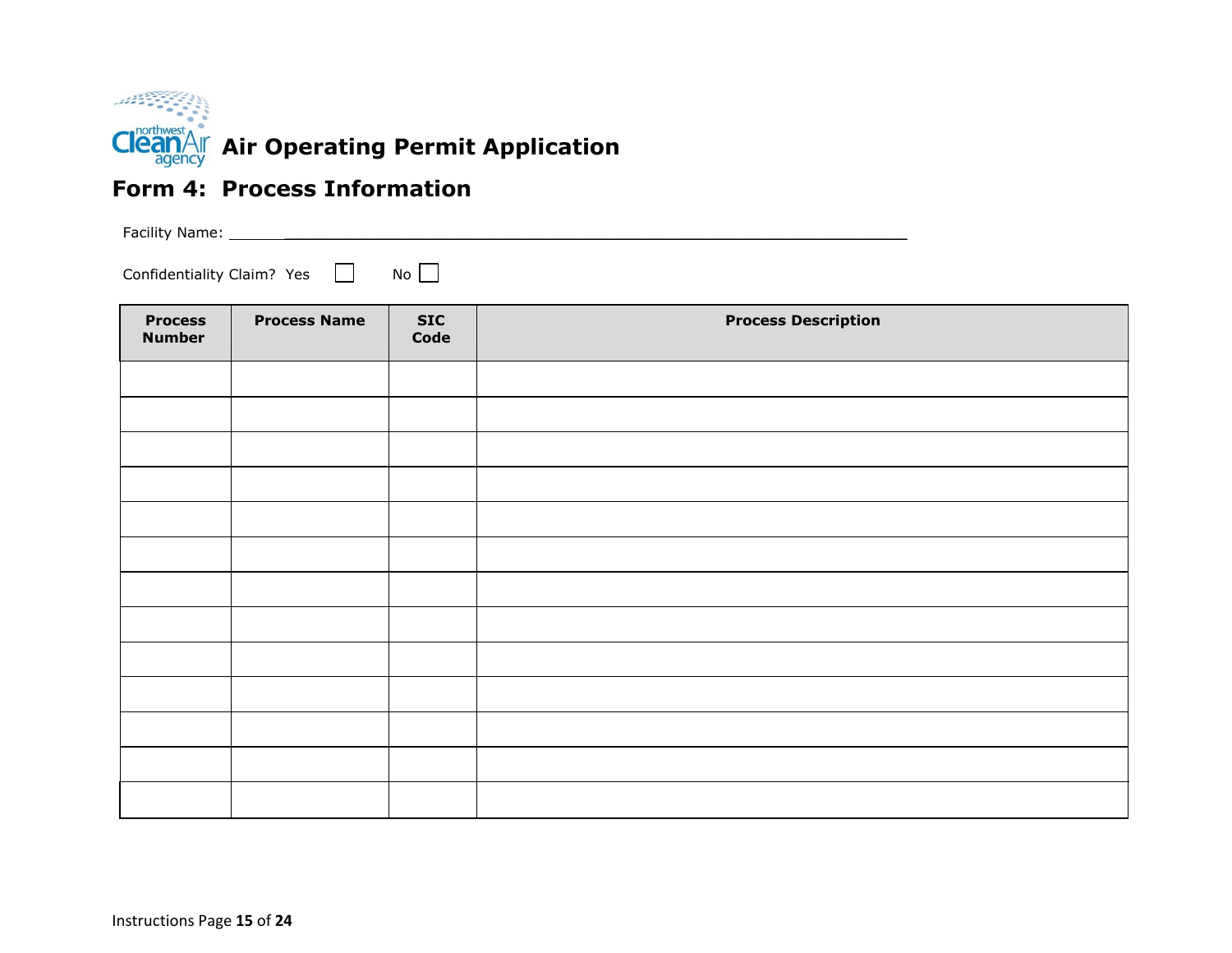

#### **Form 4: Process Information**

Facility Name: \_\_\_\_\_\_\_\_\_\_\_\_\_\_\_\_\_\_\_\_\_\_\_\_\_\_\_\_\_\_\_\_\_\_\_\_\_\_\_\_\_\_\_\_\_\_\_\_\_\_\_\_\_\_\_\_\_\_\_\_\_\_\_\_\_\_\_\_\_\_

Confidentiality Claim? Yes No

| <b>Process</b><br><b>Number</b> | <b>Process Name</b> | <b>SIC</b><br>Code | <b>Process Description</b> |
|---------------------------------|---------------------|--------------------|----------------------------|
|                                 |                     |                    |                            |
|                                 |                     |                    |                            |
|                                 |                     |                    |                            |
|                                 |                     |                    |                            |
|                                 |                     |                    |                            |
|                                 |                     |                    |                            |
|                                 |                     |                    |                            |
|                                 |                     |                    |                            |
|                                 |                     |                    |                            |
|                                 |                     |                    |                            |
|                                 |                     |                    |                            |
|                                 |                     |                    |                            |
|                                 |                     |                    |                            |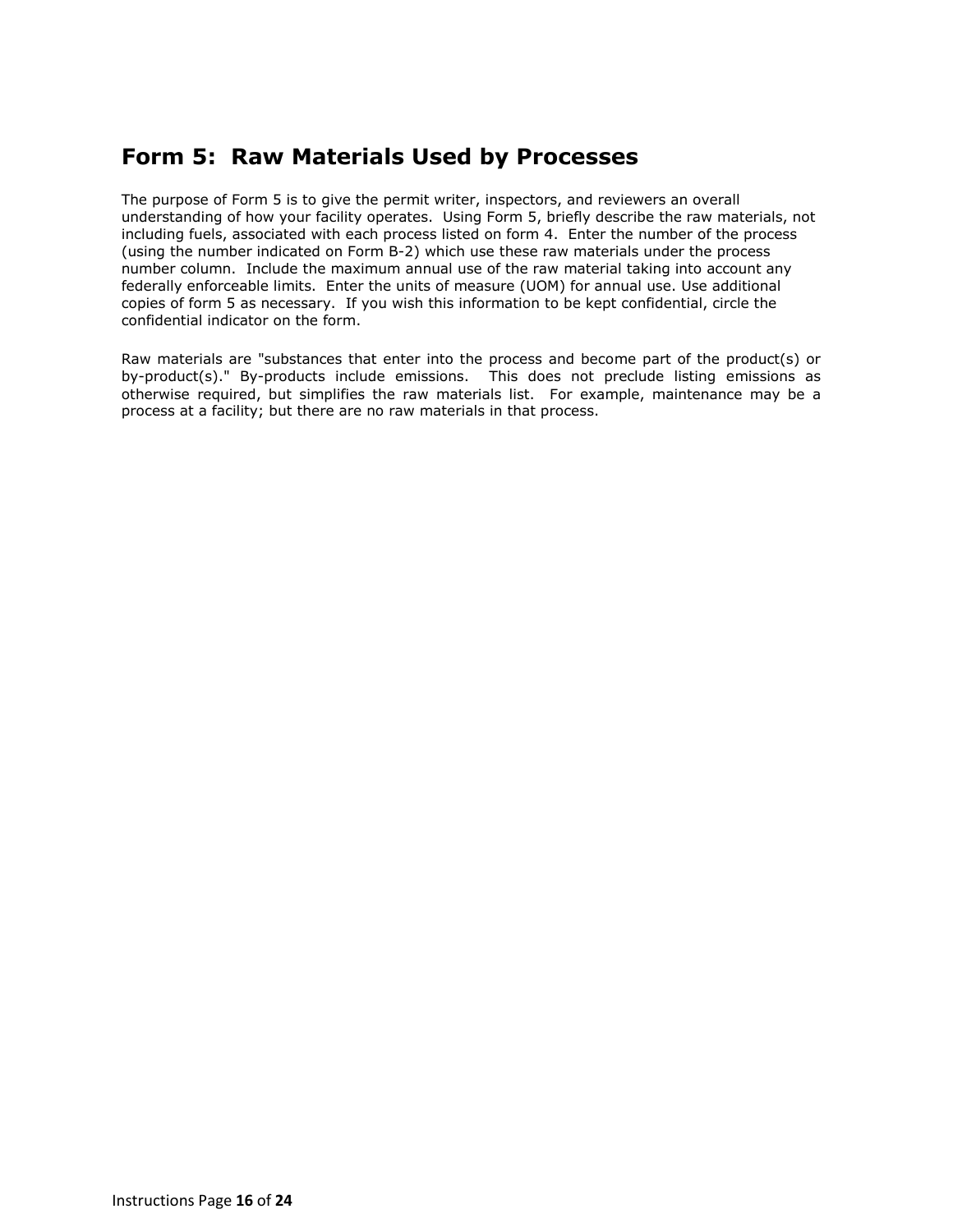#### **Form 5: Raw Materials Used by Processes**

The purpose of Form 5 is to give the permit writer, inspectors, and reviewers an overall understanding of how your facility operates. Using Form 5, briefly describe the raw materials, not including fuels, associated with each process listed on form 4. Enter the number of the process (using the number indicated on Form B-2) which use these raw materials under the process number column. Include the maximum annual use of the raw material taking into account any federally enforceable limits. Enter the units of measure (UOM) for annual use. Use additional copies of form 5 as necessary. If you wish this information to be kept confidential, circle the confidential indicator on the form.

Raw materials are "substances that enter into the process and become part of the product(s) or by-product(s)." By-products include emissions. This does not preclude listing emissions as otherwise required, but simplifies the raw materials list. For example, maintenance may be a process at a facility; but there are no raw materials in that process.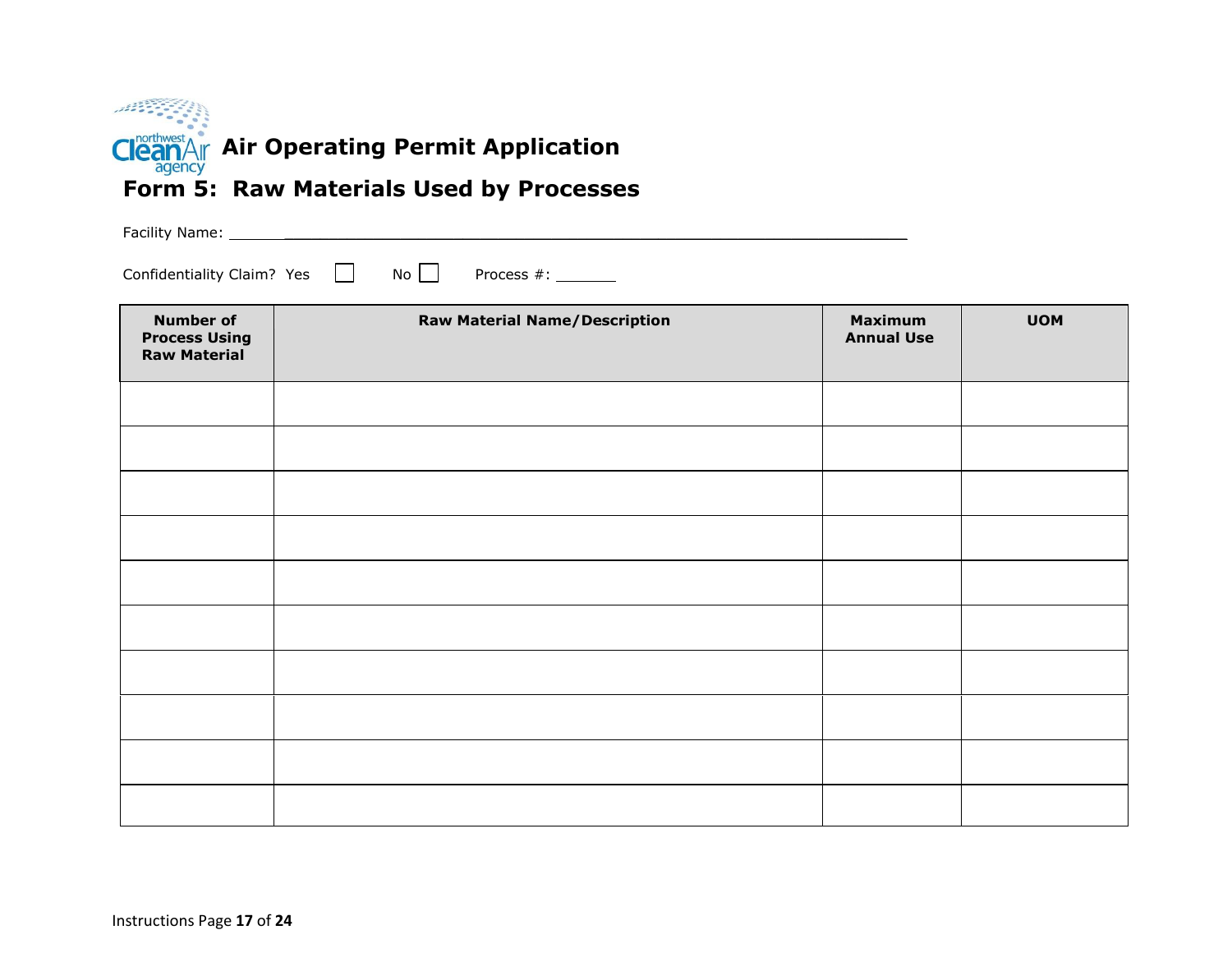

## **Form 5: Raw Materials Used by Processes**

Facility Name: \_\_\_\_\_\_\_\_\_\_\_\_\_\_\_\_\_\_\_\_\_\_\_\_\_\_\_\_\_\_\_\_\_\_\_\_\_\_\_\_\_\_\_\_\_\_\_\_\_\_\_\_\_\_\_\_\_\_\_\_\_\_\_\_\_\_\_\_\_\_

Confidentiality Claim? Yes  $\Box$  No  $\Box$  Process #:  $\Box$ 

| <b>Number of</b><br><b>Process Using</b><br><b>Raw Material</b> | <b>Raw Material Name/Description</b> | <b>Maximum</b><br><b>Annual Use</b> | <b>UOM</b> |
|-----------------------------------------------------------------|--------------------------------------|-------------------------------------|------------|
|                                                                 |                                      |                                     |            |
|                                                                 |                                      |                                     |            |
|                                                                 |                                      |                                     |            |
|                                                                 |                                      |                                     |            |
|                                                                 |                                      |                                     |            |
|                                                                 |                                      |                                     |            |
|                                                                 |                                      |                                     |            |
|                                                                 |                                      |                                     |            |
|                                                                 |                                      |                                     |            |
|                                                                 |                                      |                                     |            |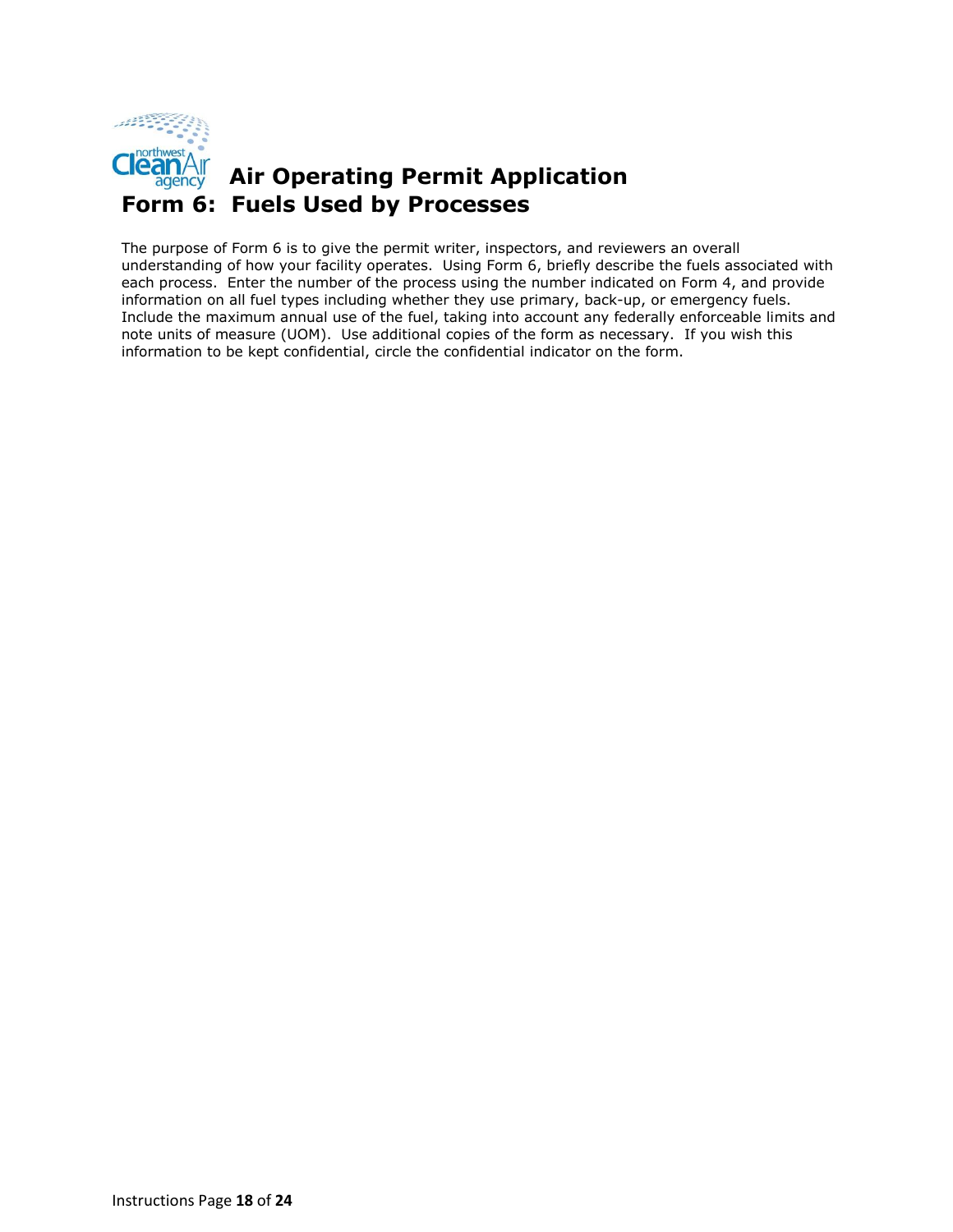

#### **Air Operating Permit Application Form 6: Fuels Used by Processes**

The purpose of Form 6 is to give the permit writer, inspectors, and reviewers an overall understanding of how your facility operates. Using Form 6, briefly describe the fuels associated with each process. Enter the number of the process using the number indicated on Form 4, and provide information on all fuel types including whether they use primary, back-up, or emergency fuels. Include the maximum annual use of the fuel, taking into account any federally enforceable limits and note units of measure (UOM). Use additional copies of the form as necessary. If you wish this information to be kept confidential, circle the confidential indicator on the form.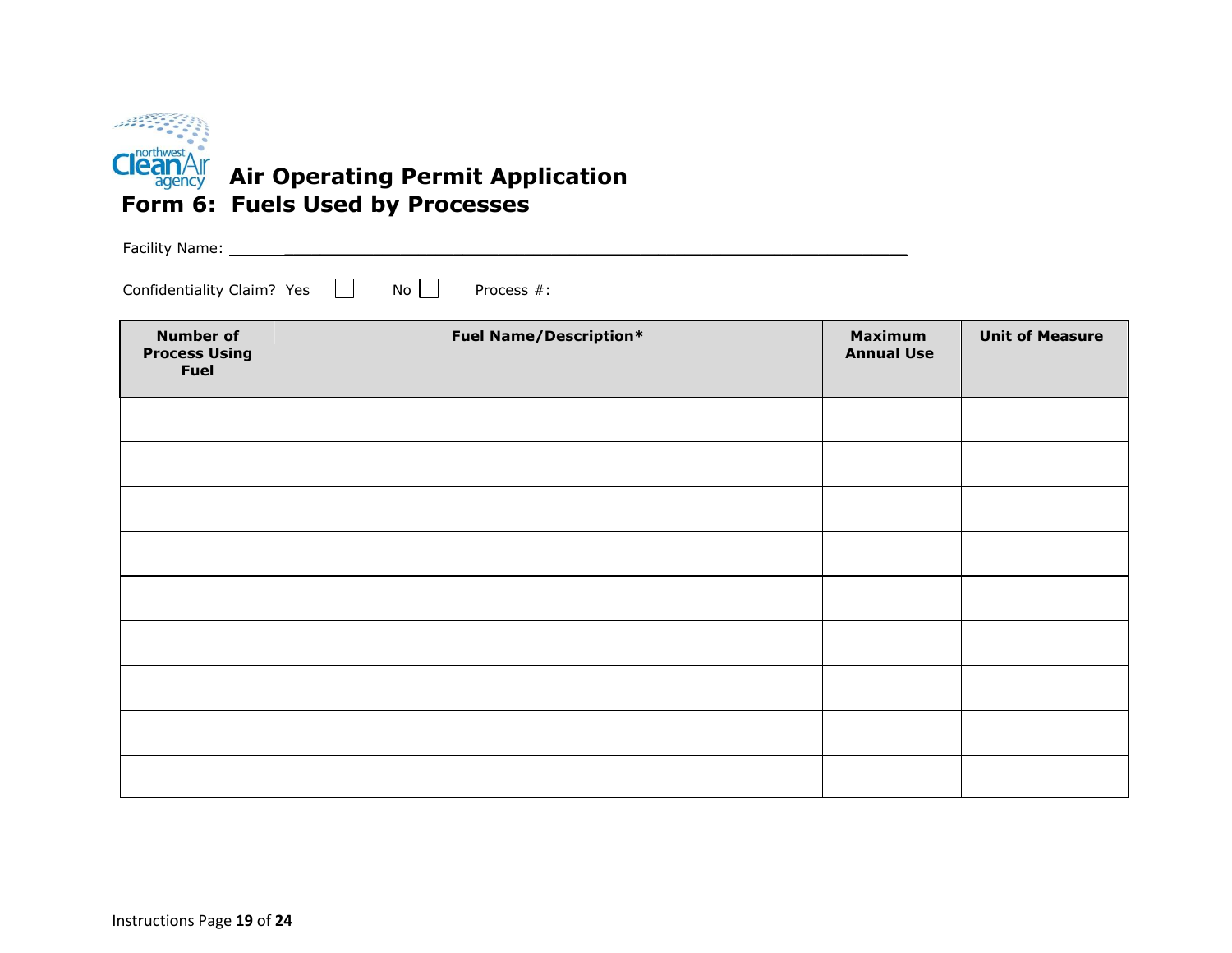

Facility Name: \_\_\_\_\_\_\_\_\_\_\_\_\_\_\_\_\_\_\_\_\_\_\_\_\_\_\_\_\_\_\_\_\_\_\_\_\_\_\_\_\_\_\_\_\_\_\_\_\_\_\_\_\_\_\_\_\_\_\_\_\_\_\_\_\_\_\_\_\_\_

Confidentiality Claim? Yes No Process #:

| <b>Number of</b><br><b>Process Using</b><br><b>Fuel</b> | <b>Fuel Name/Description*</b> | <b>Maximum</b><br><b>Annual Use</b> | <b>Unit of Measure</b> |
|---------------------------------------------------------|-------------------------------|-------------------------------------|------------------------|
|                                                         |                               |                                     |                        |
|                                                         |                               |                                     |                        |
|                                                         |                               |                                     |                        |
|                                                         |                               |                                     |                        |
|                                                         |                               |                                     |                        |
|                                                         |                               |                                     |                        |
|                                                         |                               |                                     |                        |
|                                                         |                               |                                     |                        |
|                                                         |                               |                                     |                        |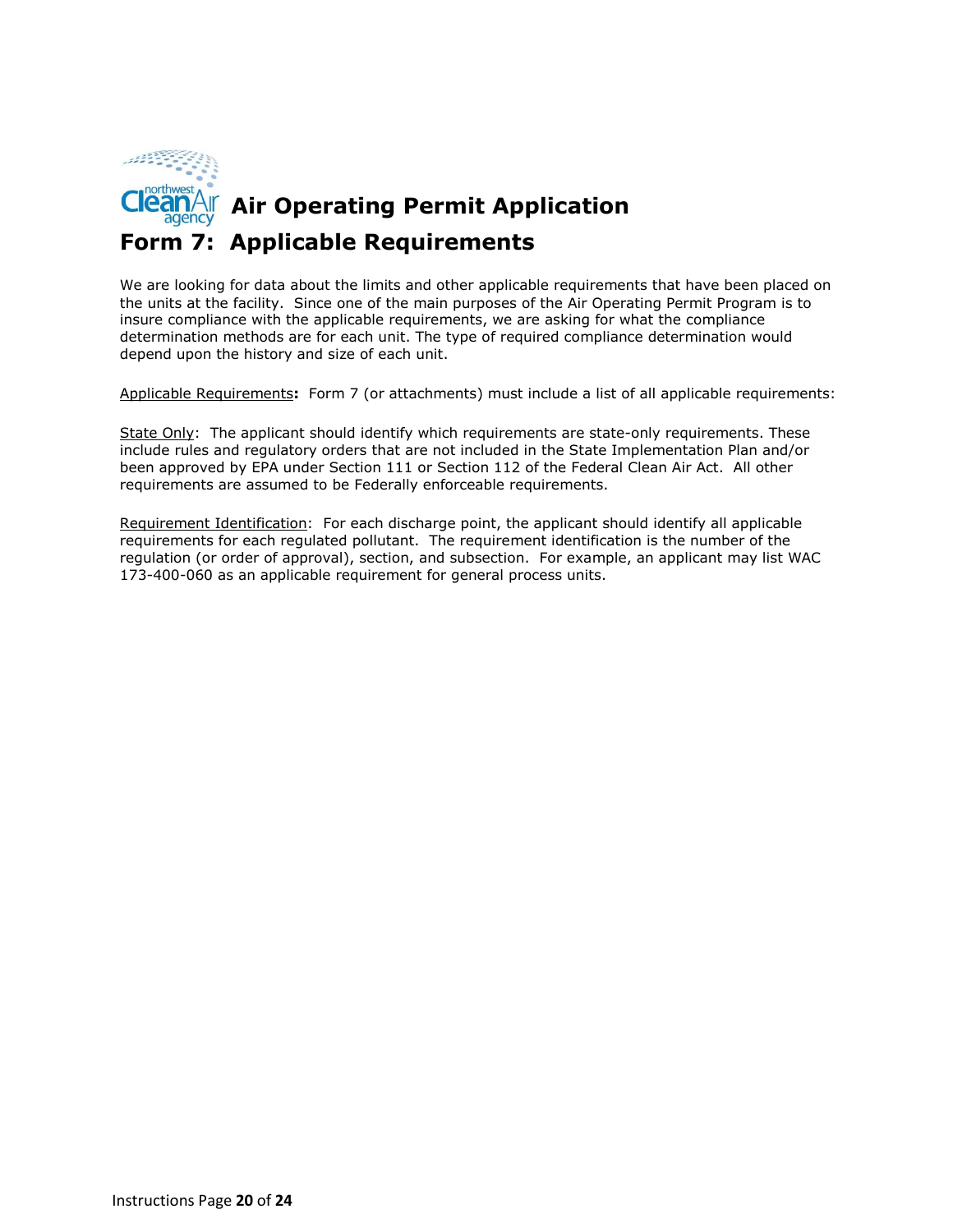

## **Air Operating Permit Application Form 7: Applicable Requirements**

We are looking for data about the limits and other applicable requirements that have been placed on the units at the facility. Since one of the main purposes of the Air Operating Permit Program is to insure compliance with the applicable requirements, we are asking for what the compliance determination methods are for each unit. The type of required compliance determination would depend upon the history and size of each unit.

Applicable Requirements**:** Form 7 (or attachments) must include a list of all applicable requirements:

State Only: The applicant should identify which requirements are state-only requirements. These include rules and regulatory orders that are not included in the State Implementation Plan and/or been approved by EPA under Section 111 or Section 112 of the Federal Clean Air Act. All other requirements are assumed to be Federally enforceable requirements.

Requirement Identification: For each discharge point, the applicant should identify all applicable requirements for each regulated pollutant. The requirement identification is the number of the regulation (or order of approval), section, and subsection. For example, an applicant may list WAC 173-400-060 as an applicable requirement for general process units.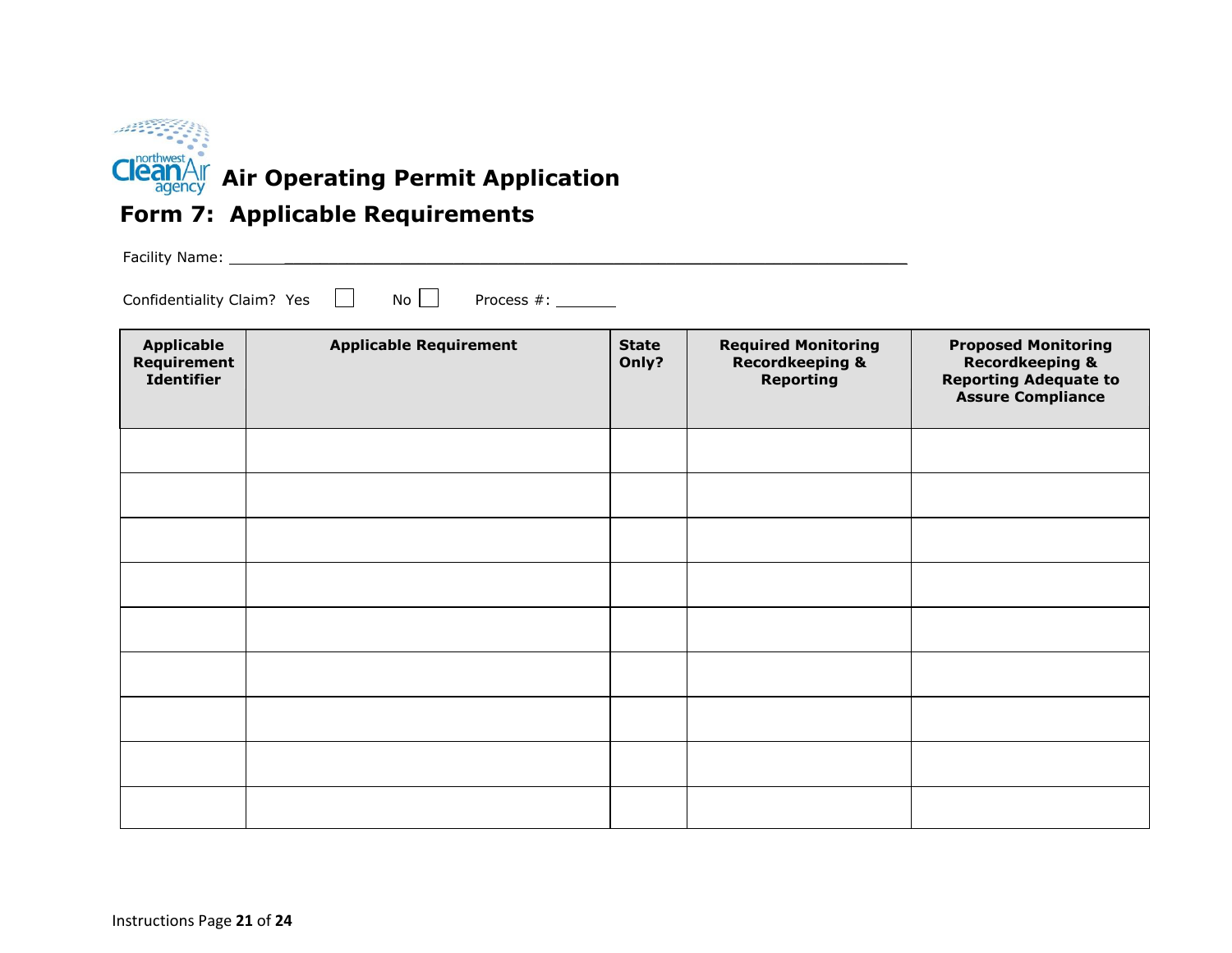

## **Form 7: Applicable Requirements**

Facility Name: \_\_\_\_\_\_\_\_\_\_\_\_\_\_\_\_\_\_\_\_\_\_\_\_\_\_\_\_\_\_\_\_\_\_\_\_\_\_\_\_\_\_\_\_\_\_\_\_\_\_\_\_\_\_\_\_\_\_\_\_\_\_\_\_\_\_\_\_\_\_

Confidentiality Claim? Yes No Process #:

| <b>Applicable</b><br><b>Requirement</b><br><b>Identifier</b> | <b>Applicable Requirement</b> | <b>State</b><br>Only? | <b>Required Monitoring</b><br><b>Recordkeeping &amp;</b><br><b>Reporting</b> | <b>Proposed Monitoring</b><br><b>Recordkeeping &amp;</b><br><b>Reporting Adequate to</b><br><b>Assure Compliance</b> |
|--------------------------------------------------------------|-------------------------------|-----------------------|------------------------------------------------------------------------------|----------------------------------------------------------------------------------------------------------------------|
|                                                              |                               |                       |                                                                              |                                                                                                                      |
|                                                              |                               |                       |                                                                              |                                                                                                                      |
|                                                              |                               |                       |                                                                              |                                                                                                                      |
|                                                              |                               |                       |                                                                              |                                                                                                                      |
|                                                              |                               |                       |                                                                              |                                                                                                                      |
|                                                              |                               |                       |                                                                              |                                                                                                                      |
|                                                              |                               |                       |                                                                              |                                                                                                                      |
|                                                              |                               |                       |                                                                              |                                                                                                                      |
|                                                              |                               |                       |                                                                              |                                                                                                                      |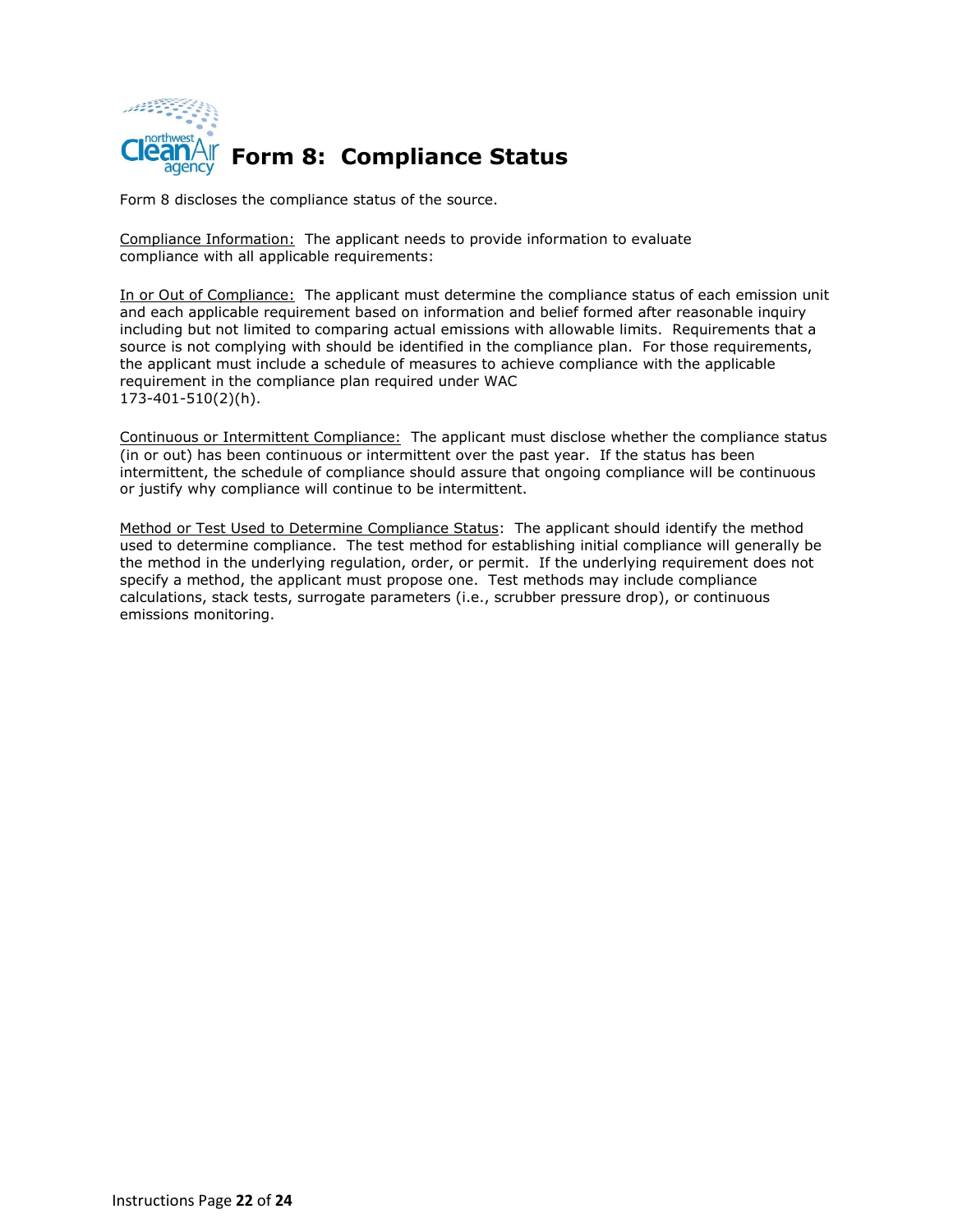

Form 8 discloses the compliance status of the source.

Compliance Information: The applicant needs to provide information to evaluate compliance with all applicable requirements:

In or Out of Compliance: The applicant must determine the compliance status of each emission unit and each applicable requirement based on information and belief formed after reasonable inquiry including but not limited to comparing actual emissions with allowable limits. Requirements that a source is not complying with should be identified in the compliance plan. For those requirements, the applicant must include a schedule of measures to achieve compliance with the applicable requirement in the compliance plan required under WAC 173-401-510(2)(h).

Continuous or Intermittent Compliance: The applicant must disclose whether the compliance status (in or out) has been continuous or intermittent over the past year. If the status has been intermittent, the schedule of compliance should assure that ongoing compliance will be continuous or justify why compliance will continue to be intermittent.

Method or Test Used to Determine Compliance Status: The applicant should identify the method used to determine compliance. The test method for establishing initial compliance will generally be the method in the underlying regulation, order, or permit. If the underlying requirement does not specify a method, the applicant must propose one. Test methods may include compliance calculations, stack tests, surrogate parameters (i.e., scrubber pressure drop), or continuous emissions monitoring.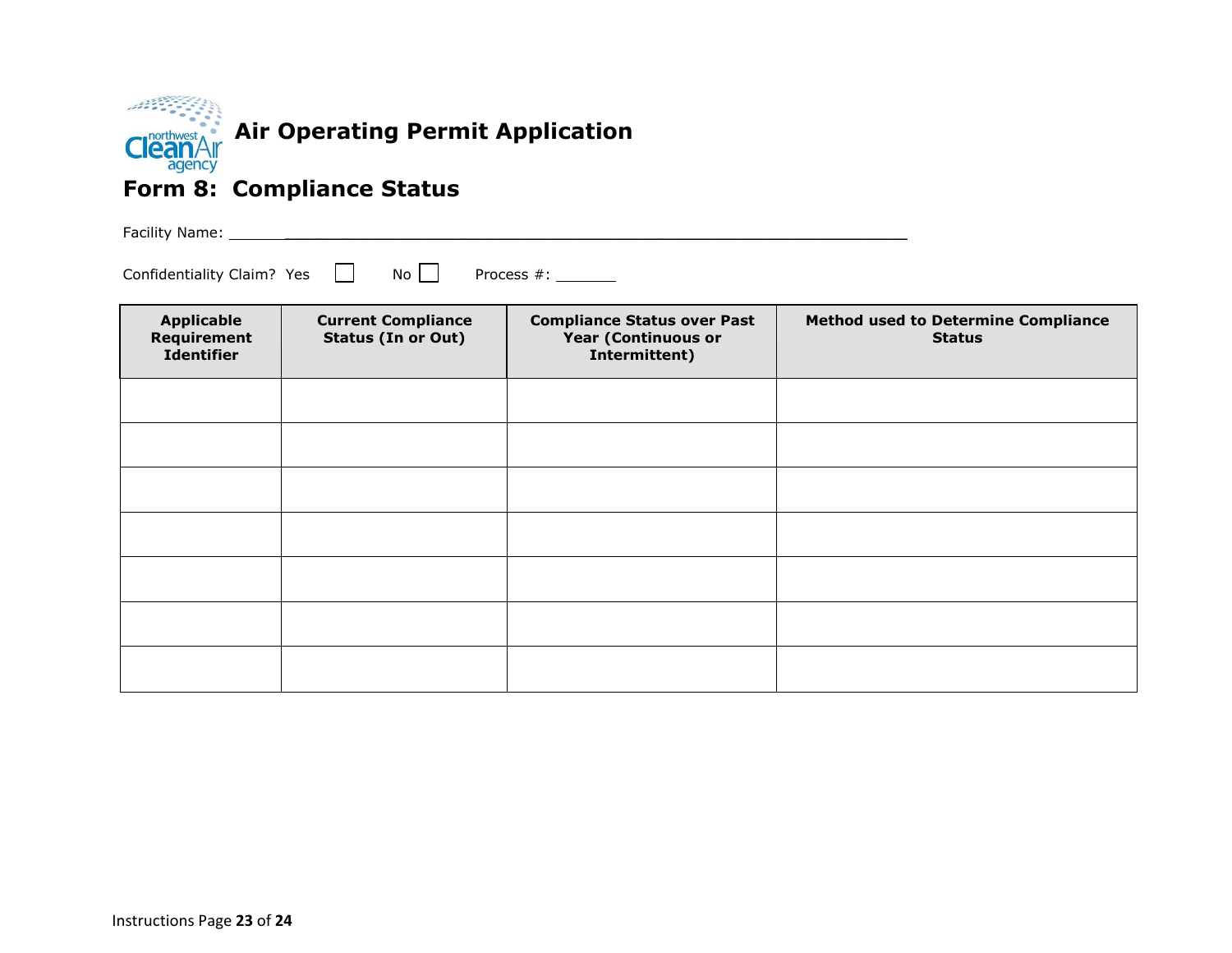

#### **Form 8: Compliance Status**

Facility Name: \_\_\_\_\_\_\_\_\_\_\_\_\_\_\_\_\_\_\_\_\_\_\_\_\_\_\_\_\_\_\_\_\_\_\_\_\_\_\_\_\_\_\_\_\_\_\_\_\_\_\_\_\_\_\_\_\_\_\_\_\_\_\_\_\_\_\_\_\_\_

Confidentiality Claim? Yes  $\Box$  No Process #: \_\_\_\_\_\_\_

| <b>Applicable</b><br>Requirement<br><b>Identifier</b> | <b>Current Compliance</b><br><b>Status (In or Out)</b> | <b>Compliance Status over Past</b><br><b>Year (Continuous or</b><br>Intermittent) | <b>Method used to Determine Compliance</b><br><b>Status</b> |
|-------------------------------------------------------|--------------------------------------------------------|-----------------------------------------------------------------------------------|-------------------------------------------------------------|
|                                                       |                                                        |                                                                                   |                                                             |
|                                                       |                                                        |                                                                                   |                                                             |
|                                                       |                                                        |                                                                                   |                                                             |
|                                                       |                                                        |                                                                                   |                                                             |
|                                                       |                                                        |                                                                                   |                                                             |
|                                                       |                                                        |                                                                                   |                                                             |
|                                                       |                                                        |                                                                                   |                                                             |